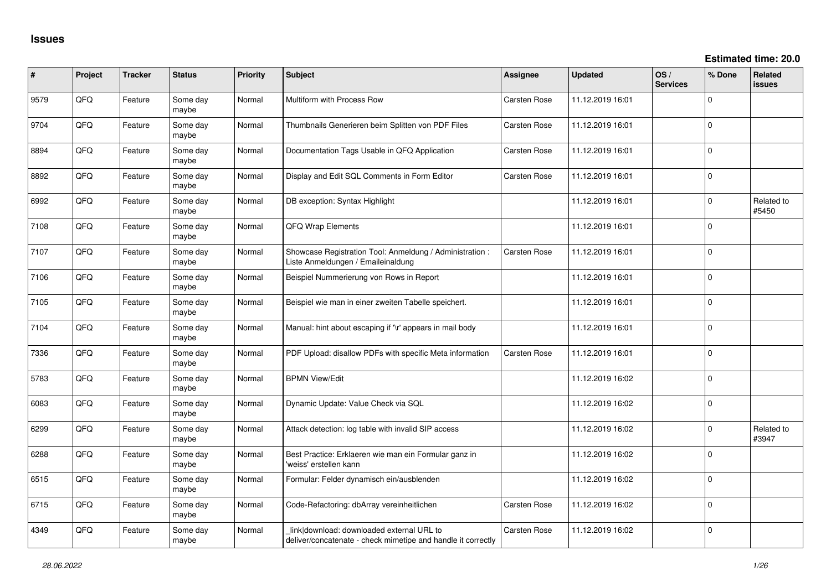| ∦    | Project | <b>Tracker</b> | <b>Status</b>     | Priority | <b>Subject</b>                                                                                            | <b>Assignee</b>     | <b>Updated</b>   | OS/<br><b>Services</b> | % Done       | Related<br><b>issues</b> |
|------|---------|----------------|-------------------|----------|-----------------------------------------------------------------------------------------------------------|---------------------|------------------|------------------------|--------------|--------------------------|
| 9579 | QFQ     | Feature        | Some day<br>maybe | Normal   | Multiform with Process Row                                                                                | Carsten Rose        | 11.12.2019 16:01 |                        | $\Omega$     |                          |
| 9704 | QFQ     | Feature        | Some day<br>maybe | Normal   | Thumbnails Generieren beim Splitten von PDF Files                                                         | Carsten Rose        | 11.12.2019 16:01 |                        | $\mathbf{0}$ |                          |
| 8894 | QFQ     | Feature        | Some day<br>maybe | Normal   | Documentation Tags Usable in QFQ Application                                                              | Carsten Rose        | 11.12.2019 16:01 |                        | $\Omega$     |                          |
| 8892 | QFQ     | Feature        | Some day<br>maybe | Normal   | Display and Edit SQL Comments in Form Editor                                                              | Carsten Rose        | 11.12.2019 16:01 |                        | $\Omega$     |                          |
| 6992 | QFQ     | Feature        | Some day<br>maybe | Normal   | DB exception: Syntax Highlight                                                                            |                     | 11.12.2019 16:01 |                        | 0            | Related to<br>#5450      |
| 7108 | QFQ     | Feature        | Some day<br>maybe | Normal   | QFQ Wrap Elements                                                                                         |                     | 11.12.2019 16:01 |                        | 0            |                          |
| 7107 | QFQ     | Feature        | Some day<br>maybe | Normal   | Showcase Registration Tool: Anmeldung / Administration :<br>Liste Anmeldungen / Emaileinaldung            | <b>Carsten Rose</b> | 11.12.2019 16:01 |                        | $\Omega$     |                          |
| 7106 | QFQ     | Feature        | Some day<br>maybe | Normal   | Beispiel Nummerierung von Rows in Report                                                                  |                     | 11.12.2019 16:01 |                        | 0            |                          |
| 7105 | QFQ     | Feature        | Some day<br>maybe | Normal   | Beispiel wie man in einer zweiten Tabelle speichert.                                                      |                     | 11.12.2019 16:01 |                        | $\mathbf{0}$ |                          |
| 7104 | QFQ     | Feature        | Some day<br>maybe | Normal   | Manual: hint about escaping if '\r' appears in mail body                                                  |                     | 11.12.2019 16:01 |                        | 0            |                          |
| 7336 | QFQ     | Feature        | Some day<br>maybe | Normal   | PDF Upload: disallow PDFs with specific Meta information                                                  | <b>Carsten Rose</b> | 11.12.2019 16:01 |                        | $\Omega$     |                          |
| 5783 | QFQ     | Feature        | Some day<br>maybe | Normal   | <b>BPMN View/Edit</b>                                                                                     |                     | 11.12.2019 16:02 |                        | $\mathbf{0}$ |                          |
| 6083 | QFQ     | Feature        | Some day<br>maybe | Normal   | Dynamic Update: Value Check via SQL                                                                       |                     | 11.12.2019 16:02 |                        | 0            |                          |
| 6299 | QFQ     | Feature        | Some day<br>maybe | Normal   | Attack detection: log table with invalid SIP access                                                       |                     | 11.12.2019 16:02 |                        | 0            | Related to<br>#3947      |
| 6288 | QFQ     | Feature        | Some day<br>maybe | Normal   | Best Practice: Erklaeren wie man ein Formular ganz in<br>'weiss' erstellen kann                           |                     | 11.12.2019 16:02 |                        | 0            |                          |
| 6515 | QFQ     | Feature        | Some day<br>maybe | Normal   | Formular: Felder dynamisch ein/ausblenden                                                                 |                     | 11.12.2019 16:02 |                        | 0            |                          |
| 6715 | QFQ     | Feature        | Some day<br>maybe | Normal   | Code-Refactoring: dbArray vereinheitlichen                                                                | <b>Carsten Rose</b> | 11.12.2019 16:02 |                        | $\Omega$     |                          |
| 4349 | QFQ     | Feature        | Some day<br>maybe | Normal   | link download: downloaded external URL to<br>deliver/concatenate - check mimetipe and handle it correctly | <b>Carsten Rose</b> | 11.12.2019 16:02 |                        | 0            |                          |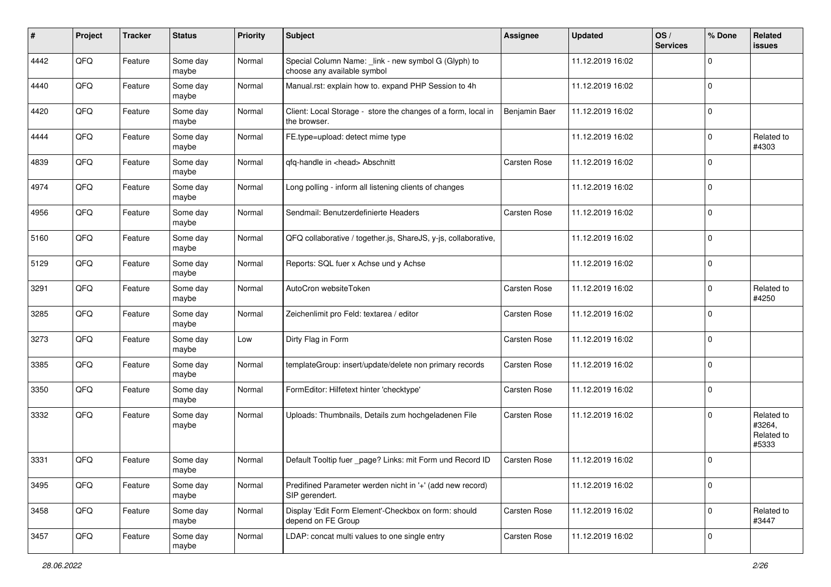| #    | Project | <b>Tracker</b> | <b>Status</b>     | <b>Priority</b> | <b>Subject</b>                                                                      | <b>Assignee</b> | <b>Updated</b>   | OS/<br><b>Services</b> | % Done      | Related<br><b>issues</b>                    |
|------|---------|----------------|-------------------|-----------------|-------------------------------------------------------------------------------------|-----------------|------------------|------------------------|-------------|---------------------------------------------|
| 4442 | QFQ     | Feature        | Some day<br>maybe | Normal          | Special Column Name: _link - new symbol G (Glyph) to<br>choose any available symbol |                 | 11.12.2019 16:02 |                        | $\mathbf 0$ |                                             |
| 4440 | QFQ     | Feature        | Some day<br>maybe | Normal          | Manual.rst: explain how to. expand PHP Session to 4h                                |                 | 11.12.2019 16:02 |                        | $\mathbf 0$ |                                             |
| 4420 | QFQ     | Feature        | Some day<br>maybe | Normal          | Client: Local Storage - store the changes of a form, local in<br>the browser.       | Benjamin Baer   | 11.12.2019 16:02 |                        | $\Omega$    |                                             |
| 4444 | QFQ     | Feature        | Some day<br>maybe | Normal          | FE.type=upload: detect mime type                                                    |                 | 11.12.2019 16:02 |                        | $\mathbf 0$ | Related to<br>#4303                         |
| 4839 | QFQ     | Feature        | Some day<br>maybe | Normal          | qfq-handle in <head> Abschnitt</head>                                               | Carsten Rose    | 11.12.2019 16:02 |                        | $\Omega$    |                                             |
| 4974 | QFQ     | Feature        | Some day<br>maybe | Normal          | Long polling - inform all listening clients of changes                              |                 | 11.12.2019 16:02 |                        | $\mathbf 0$ |                                             |
| 4956 | QFQ     | Feature        | Some day<br>maybe | Normal          | Sendmail: Benutzerdefinierte Headers                                                | Carsten Rose    | 11.12.2019 16:02 |                        | 0           |                                             |
| 5160 | QFQ     | Feature        | Some day<br>maybe | Normal          | QFQ collaborative / together.js, ShareJS, y-js, collaborative,                      |                 | 11.12.2019 16:02 |                        | 0           |                                             |
| 5129 | QFQ     | Feature        | Some day<br>maybe | Normal          | Reports: SQL fuer x Achse und y Achse                                               |                 | 11.12.2019 16:02 |                        | 0           |                                             |
| 3291 | QFQ     | Feature        | Some day<br>maybe | Normal          | AutoCron websiteToken                                                               | Carsten Rose    | 11.12.2019 16:02 |                        | $\Omega$    | Related to<br>#4250                         |
| 3285 | QFQ     | Feature        | Some day<br>maybe | Normal          | Zeichenlimit pro Feld: textarea / editor                                            | Carsten Rose    | 11.12.2019 16:02 |                        | $\mathbf 0$ |                                             |
| 3273 | QFQ     | Feature        | Some day<br>maybe | Low             | Dirty Flag in Form                                                                  | Carsten Rose    | 11.12.2019 16:02 |                        | $\Omega$    |                                             |
| 3385 | QFQ     | Feature        | Some day<br>maybe | Normal          | templateGroup: insert/update/delete non primary records                             | Carsten Rose    | 11.12.2019 16:02 |                        | $\mathbf 0$ |                                             |
| 3350 | QFQ     | Feature        | Some day<br>maybe | Normal          | FormEditor: Hilfetext hinter 'checktype'                                            | Carsten Rose    | 11.12.2019 16:02 |                        | 0           |                                             |
| 3332 | QFQ     | Feature        | Some day<br>maybe | Normal          | Uploads: Thumbnails, Details zum hochgeladenen File                                 | Carsten Rose    | 11.12.2019 16:02 |                        | $\mathbf 0$ | Related to<br>#3264,<br>Related to<br>#5333 |
| 3331 | QFQ     | Feature        | Some day<br>maybe | Normal          | Default Tooltip fuer _page? Links: mit Form und Record ID                           | Carsten Rose    | 11.12.2019 16:02 |                        | $\Omega$    |                                             |
| 3495 | QFQ     | Feature        | Some day<br>maybe | Normal          | Predifined Parameter werden nicht in '+' (add new record)<br>SIP gerendert.         |                 | 11.12.2019 16:02 |                        | 0           |                                             |
| 3458 | QFQ     | Feature        | Some day<br>maybe | Normal          | Display 'Edit Form Element'-Checkbox on form: should<br>depend on FE Group          | Carsten Rose    | 11.12.2019 16:02 |                        | 0           | Related to<br>#3447                         |
| 3457 | QFQ     | Feature        | Some day<br>maybe | Normal          | LDAP: concat multi values to one single entry                                       | Carsten Rose    | 11.12.2019 16:02 |                        | 0           |                                             |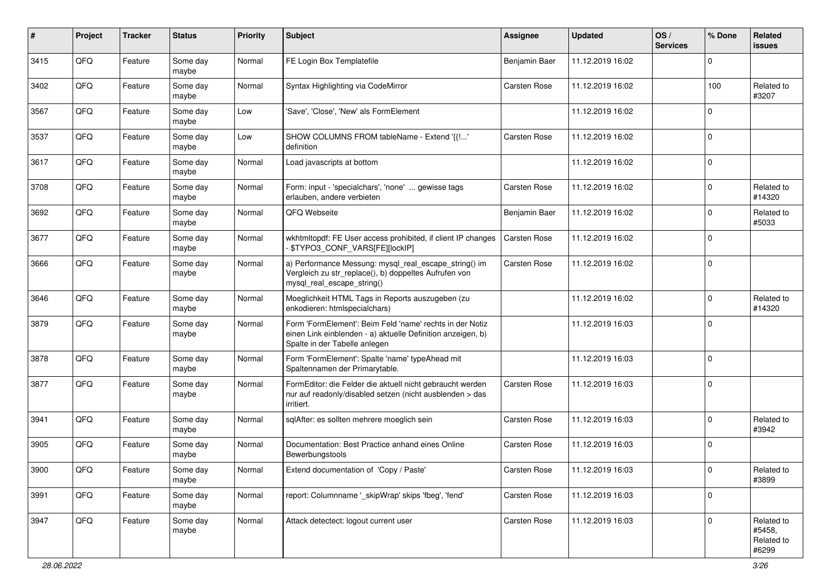| #    | Project | <b>Tracker</b> | <b>Status</b>     | <b>Priority</b> | Subject                                                                                                                                                  | Assignee      | <b>Updated</b>   | OS/<br><b>Services</b> | % Done              | Related<br>issues                           |
|------|---------|----------------|-------------------|-----------------|----------------------------------------------------------------------------------------------------------------------------------------------------------|---------------|------------------|------------------------|---------------------|---------------------------------------------|
| 3415 | QFQ     | Feature        | Some day<br>maybe | Normal          | FE Login Box Templatefile                                                                                                                                | Benjamin Baer | 11.12.2019 16:02 |                        | $\Omega$            |                                             |
| 3402 | QFQ     | Feature        | Some day<br>maybe | Normal          | Syntax Highlighting via CodeMirror                                                                                                                       | Carsten Rose  | 11.12.2019 16:02 |                        | 100                 | Related to<br>#3207                         |
| 3567 | QFQ     | Feature        | Some day<br>maybe | Low             | 'Save', 'Close', 'New' als FormElement                                                                                                                   |               | 11.12.2019 16:02 |                        | $\Omega$            |                                             |
| 3537 | QFQ     | Feature        | Some day<br>maybe | Low             | SHOW COLUMNS FROM tableName - Extend '{{!'<br>definition                                                                                                 | Carsten Rose  | 11.12.2019 16:02 |                        | $\mathbf 0$         |                                             |
| 3617 | QFQ     | Feature        | Some day<br>maybe | Normal          | Load javascripts at bottom                                                                                                                               |               | 11.12.2019 16:02 |                        | $\mathbf 0$         |                                             |
| 3708 | QFQ     | Feature        | Some day<br>maybe | Normal          | Form: input - 'specialchars', 'none'  gewisse tags<br>erlauben, andere verbieten                                                                         | Carsten Rose  | 11.12.2019 16:02 |                        | $\Omega$            | Related to<br>#14320                        |
| 3692 | QFQ     | Feature        | Some day<br>maybe | Normal          | QFQ Webseite                                                                                                                                             | Benjamin Baer | 11.12.2019 16:02 |                        | $\Omega$            | Related to<br>#5033                         |
| 3677 | QFQ     | Feature        | Some day<br>maybe | Normal          | wkhtmltopdf: FE User access prohibited, if client IP changes<br>\$TYPO3_CONF_VARS[FE][lockIP]                                                            | Carsten Rose  | 11.12.2019 16:02 |                        | $\mathbf 0$         |                                             |
| 3666 | QFQ     | Feature        | Some day<br>maybe | Normal          | a) Performance Messung: mysql_real_escape_string() im<br>Vergleich zu str_replace(), b) doppeltes Aufrufen von<br>mysql_real_escape_string()             | Carsten Rose  | 11.12.2019 16:02 |                        | $\mathbf 0$         |                                             |
| 3646 | QFQ     | Feature        | Some day<br>maybe | Normal          | Moeglichkeit HTML Tags in Reports auszugeben (zu<br>enkodieren: htmlspecialchars)                                                                        |               | 11.12.2019 16:02 |                        | $\mathbf 0$         | Related to<br>#14320                        |
| 3879 | QFQ     | Feature        | Some day<br>maybe | Normal          | Form 'FormElement': Beim Feld 'name' rechts in der Notiz<br>einen Link einblenden - a) aktuelle Definition anzeigen, b)<br>Spalte in der Tabelle anlegen |               | 11.12.2019 16:03 |                        | $\Omega$            |                                             |
| 3878 | QFQ     | Feature        | Some day<br>maybe | Normal          | Form 'FormElement': Spalte 'name' typeAhead mit<br>Spaltennamen der Primarytable.                                                                        |               | 11.12.2019 16:03 |                        | $\Omega$            |                                             |
| 3877 | QFQ     | Feature        | Some day<br>maybe | Normal          | FormEditor: die Felder die aktuell nicht gebraucht werden<br>nur auf readonly/disabled setzen (nicht ausblenden > das<br>irritiert.                      | Carsten Rose  | 11.12.2019 16:03 |                        | $\Omega$            |                                             |
| 3941 | QFQ     | Feature        | Some day<br>maybe | Normal          | sqlAfter: es sollten mehrere moeglich sein                                                                                                               | Carsten Rose  | 11.12.2019 16:03 |                        | $\Omega$            | Related to<br>#3942                         |
| 3905 | QFQ     | Feature        | Some day<br>maybe | Normal          | Documentation: Best Practice anhand eines Online<br>Bewerbungstools                                                                                      | Carsten Rose  | 11.12.2019 16:03 |                        | $\Omega$            |                                             |
| 3900 | QFQ     | Feature        | Some day<br>maybe | Normal          | Extend documentation of 'Copy / Paste'                                                                                                                   | Carsten Rose  | 11.12.2019 16:03 |                        | $\mathsf{O}\xspace$ | Related to<br>#3899                         |
| 3991 | QFQ     | Feature        | Some day<br>maybe | Normal          | report: Columnname '_skipWrap' skips 'fbeg', 'fend'                                                                                                      | Carsten Rose  | 11.12.2019 16:03 |                        | $\mathbf 0$         |                                             |
| 3947 | QFQ     | Feature        | Some day<br>maybe | Normal          | Attack detectect: logout current user                                                                                                                    | Carsten Rose  | 11.12.2019 16:03 |                        | $\mathbf 0$         | Related to<br>#5458,<br>Related to<br>#6299 |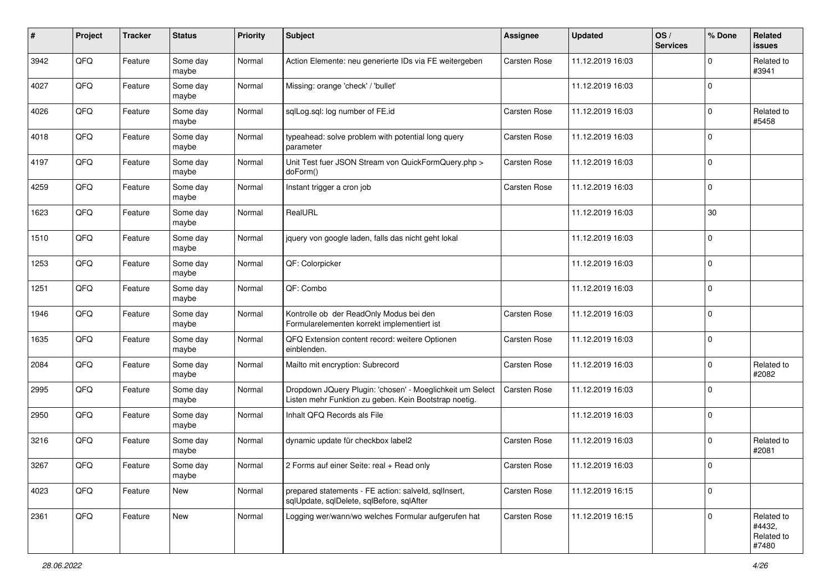| #    | Project | <b>Tracker</b> | <b>Status</b>     | <b>Priority</b> | Subject                                                                                                            | <b>Assignee</b>     | <b>Updated</b>   | OS/<br><b>Services</b> | % Done      | Related<br><b>issues</b>                    |
|------|---------|----------------|-------------------|-----------------|--------------------------------------------------------------------------------------------------------------------|---------------------|------------------|------------------------|-------------|---------------------------------------------|
| 3942 | QFQ     | Feature        | Some day<br>maybe | Normal          | Action Elemente: neu generierte IDs via FE weitergeben                                                             | <b>Carsten Rose</b> | 11.12.2019 16:03 |                        | $\Omega$    | Related to<br>#3941                         |
| 4027 | QFQ     | Feature        | Some day<br>maybe | Normal          | Missing: orange 'check' / 'bullet'                                                                                 |                     | 11.12.2019 16:03 |                        | l 0         |                                             |
| 4026 | QFQ     | Feature        | Some day<br>maybe | Normal          | sqlLog.sql: log number of FE.id                                                                                    | Carsten Rose        | 11.12.2019 16:03 |                        | $\Omega$    | Related to<br>#5458                         |
| 4018 | QFQ     | Feature        | Some day<br>maybe | Normal          | typeahead: solve problem with potential long query<br>parameter                                                    | Carsten Rose        | 11.12.2019 16:03 |                        | l 0         |                                             |
| 4197 | QFQ     | Feature        | Some day<br>maybe | Normal          | Unit Test fuer JSON Stream von QuickFormQuery.php ><br>doForm()                                                    | Carsten Rose        | 11.12.2019 16:03 |                        | l 0         |                                             |
| 4259 | QFQ     | Feature        | Some day<br>maybe | Normal          | Instant trigger a cron job                                                                                         | Carsten Rose        | 11.12.2019 16:03 |                        | $\mathbf 0$ |                                             |
| 1623 | QFQ     | Feature        | Some day<br>maybe | Normal          | RealURL                                                                                                            |                     | 11.12.2019 16:03 |                        | 30          |                                             |
| 1510 | QFQ     | Feature        | Some day<br>maybe | Normal          | jquery von google laden, falls das nicht geht lokal                                                                |                     | 11.12.2019 16:03 |                        | l 0         |                                             |
| 1253 | QFQ     | Feature        | Some day<br>maybe | Normal          | QF: Colorpicker                                                                                                    |                     | 11.12.2019 16:03 |                        | l 0         |                                             |
| 1251 | QFQ     | Feature        | Some day<br>maybe | Normal          | QF: Combo                                                                                                          |                     | 11.12.2019 16:03 |                        | $\Omega$    |                                             |
| 1946 | QFQ     | Feature        | Some day<br>maybe | Normal          | Kontrolle ob der ReadOnly Modus bei den<br>Formularelementen korrekt implementiert ist                             | Carsten Rose        | 11.12.2019 16:03 |                        | l 0         |                                             |
| 1635 | QFQ     | Feature        | Some day<br>maybe | Normal          | QFQ Extension content record: weitere Optionen<br>einblenden.                                                      | Carsten Rose        | 11.12.2019 16:03 |                        | $\Omega$    |                                             |
| 2084 | QFQ     | Feature        | Some day<br>maybe | Normal          | Mailto mit encryption: Subrecord                                                                                   | Carsten Rose        | 11.12.2019 16:03 |                        | $\mathbf 0$ | Related to<br>#2082                         |
| 2995 | QFQ     | Feature        | Some day<br>maybe | Normal          | Dropdown JQuery Plugin: 'chosen' - Moeglichkeit um Select<br>Listen mehr Funktion zu geben. Kein Bootstrap noetig. | Carsten Rose        | 11.12.2019 16:03 |                        | $\Omega$    |                                             |
| 2950 | QFQ     | Feature        | Some day<br>maybe | Normal          | Inhalt QFQ Records als File                                                                                        |                     | 11.12.2019 16:03 |                        | l 0         |                                             |
| 3216 | QFQ     | Feature        | Some day<br>maybe | Normal          | dynamic update für checkbox label2                                                                                 | Carsten Rose        | 11.12.2019 16:03 |                        | l 0         | Related to<br>#2081                         |
| 3267 | QFQ     | Feature        | Some day<br>maybe | Normal          | 2 Forms auf einer Seite: real + Read only                                                                          | <b>Carsten Rose</b> | 11.12.2019 16:03 |                        | l 0         |                                             |
| 4023 | QFQ     | Feature        | New               | Normal          | prepared statements - FE action: salveld, sqllnsert,<br>sqlUpdate, sqlDelete, sqlBefore, sqlAfter                  | Carsten Rose        | 11.12.2019 16:15 |                        | l 0         |                                             |
| 2361 | QFQ     | Feature        | New               | Normal          | Logging wer/wann/wo welches Formular aufgerufen hat                                                                | Carsten Rose        | 11.12.2019 16:15 |                        | $\Omega$    | Related to<br>#4432,<br>Related to<br>#7480 |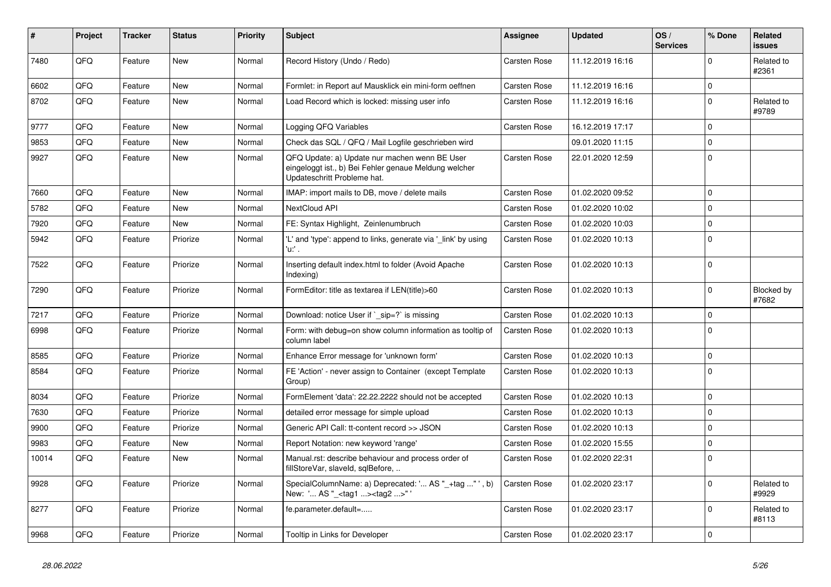| $\vert$ # | <b>Project</b> | <b>Tracker</b> | <b>Status</b> | <b>Priority</b> | <b>Subject</b>                                                                                                                        | Assignee            | <b>Updated</b>   | OS/<br><b>Services</b> | % Done       | Related<br><b>issues</b> |
|-----------|----------------|----------------|---------------|-----------------|---------------------------------------------------------------------------------------------------------------------------------------|---------------------|------------------|------------------------|--------------|--------------------------|
| 7480      | QFQ            | Feature        | <b>New</b>    | Normal          | Record History (Undo / Redo)                                                                                                          | <b>Carsten Rose</b> | 11.12.2019 16:16 |                        | $\Omega$     | Related to<br>#2361      |
| 6602      | QFQ            | Feature        | New           | Normal          | Formlet: in Report auf Mausklick ein mini-form oeffnen                                                                                | Carsten Rose        | 11.12.2019 16:16 |                        | $\mathbf 0$  |                          |
| 8702      | QFQ            | Feature        | New           | Normal          | Load Record which is locked: missing user info                                                                                        | <b>Carsten Rose</b> | 11.12.2019 16:16 |                        | $\Omega$     | Related to<br>#9789      |
| 9777      | QFQ            | Feature        | New           | Normal          | Logging QFQ Variables                                                                                                                 | Carsten Rose        | 16.12.2019 17:17 |                        | $\Omega$     |                          |
| 9853      | QFQ            | Feature        | <b>New</b>    | Normal          | Check das SQL / QFQ / Mail Logfile geschrieben wird                                                                                   |                     | 09.01.2020 11:15 |                        | $\Omega$     |                          |
| 9927      | QFQ            | Feature        | New           | Normal          | QFQ Update: a) Update nur machen wenn BE User<br>eingeloggt ist., b) Bei Fehler genaue Meldung welcher<br>Updateschritt Probleme hat. | Carsten Rose        | 22.01.2020 12:59 |                        | I٥           |                          |
| 7660      | QFQ            | Feature        | New           | Normal          | IMAP: import mails to DB, move / delete mails                                                                                         | Carsten Rose        | 01.02.2020 09:52 |                        | $\Omega$     |                          |
| 5782      | QFQ            | Feature        | <b>New</b>    | Normal          | NextCloud API                                                                                                                         | <b>Carsten Rose</b> | 01.02.2020 10:02 |                        | $\mathbf{0}$ |                          |
| 7920      | QFQ            | Feature        | <b>New</b>    | Normal          | FE: Syntax Highlight, Zeinlenumbruch                                                                                                  | <b>Carsten Rose</b> | 01.02.2020 10:03 |                        | $\Omega$     |                          |
| 5942      | QFQ            | Feature        | Priorize      | Normal          | 'L' and 'type': append to links, generate via '_link' by using<br>$'u$ .                                                              | <b>Carsten Rose</b> | 01.02.2020 10:13 |                        | $\Omega$     |                          |
| 7522      | QFQ            | Feature        | Priorize      | Normal          | Inserting default index.html to folder (Avoid Apache<br>Indexing)                                                                     | Carsten Rose        | 01.02.2020 10:13 |                        | $\mathbf 0$  |                          |
| 7290      | QFQ            | Feature        | Priorize      | Normal          | FormEditor: title as textarea if LEN(title)>60                                                                                        | <b>Carsten Rose</b> | 01.02.2020 10:13 |                        | $\Omega$     | Blocked by<br>#7682      |
| 7217      | QFQ            | Feature        | Priorize      | Normal          | Download: notice User if `_sip=?` is missing                                                                                          | <b>Carsten Rose</b> | 01.02.2020 10:13 |                        | l 0          |                          |
| 6998      | QFQ            | Feature        | Priorize      | Normal          | Form: with debug=on show column information as tooltip of<br>column label                                                             | <b>Carsten Rose</b> | 01.02.2020 10:13 |                        | l n          |                          |
| 8585      | QFQ            | Feature        | Priorize      | Normal          | Enhance Error message for 'unknown form'                                                                                              | Carsten Rose        | 01.02.2020 10:13 |                        | $\mathbf 0$  |                          |
| 8584      | QFQ            | Feature        | Priorize      | Normal          | FE 'Action' - never assign to Container (except Template<br>Group)                                                                    | <b>Carsten Rose</b> | 01.02.2020 10:13 |                        | l O          |                          |
| 8034      | QFQ            | Feature        | Priorize      | Normal          | FormElement 'data': 22.22.2222 should not be accepted                                                                                 | Carsten Rose        | 01.02.2020 10:13 |                        | $\Omega$     |                          |
| 7630      | QFQ            | Feature        | Priorize      | Normal          | detailed error message for simple upload                                                                                              | <b>Carsten Rose</b> | 01.02.2020 10:13 |                        | I٥           |                          |
| 9900      | QFQ            | Feature        | Priorize      | Normal          | Generic API Call: tt-content record >> JSON                                                                                           | Carsten Rose        | 01.02.2020 10:13 |                        | $\Omega$     |                          |
| 9983      | QFQ            | Feature        | <b>New</b>    | Normal          | Report Notation: new keyword 'range'                                                                                                  | Carsten Rose        | 01.02.2020 15:55 |                        | $\Omega$     |                          |
| 10014     | QFQ            | Feature        | New           | Normal          | Manual.rst: describe behaviour and process order of<br>fillStoreVar, slaveId, sqlBefore,                                              | <b>Carsten Rose</b> | 01.02.2020 22:31 |                        | $\Omega$     |                          |
| 9928      | QFQ            | Feature        | Priorize      | Normal          | SpecialColumnName: a) Deprecated: ' AS "_+tag " ', b)<br>New: ' AS "_ <tag1><tag2>"</tag2></tag1>                                     | Carsten Rose        | 01.02.2020 23:17 |                        | $\Omega$     | Related to<br>#9929      |
| 8277      | QFQ            | Feature        | Priorize      | Normal          | fe.parameter.default=                                                                                                                 | Carsten Rose        | 01.02.2020 23:17 |                        | $\mathbf{0}$ | Related to<br>#8113      |
| 9968      | QFQ            | Feature        | Priorize      | Normal          | Tooltip in Links for Developer                                                                                                        | Carsten Rose        | 01.02.2020 23:17 |                        | $\mathbf 0$  |                          |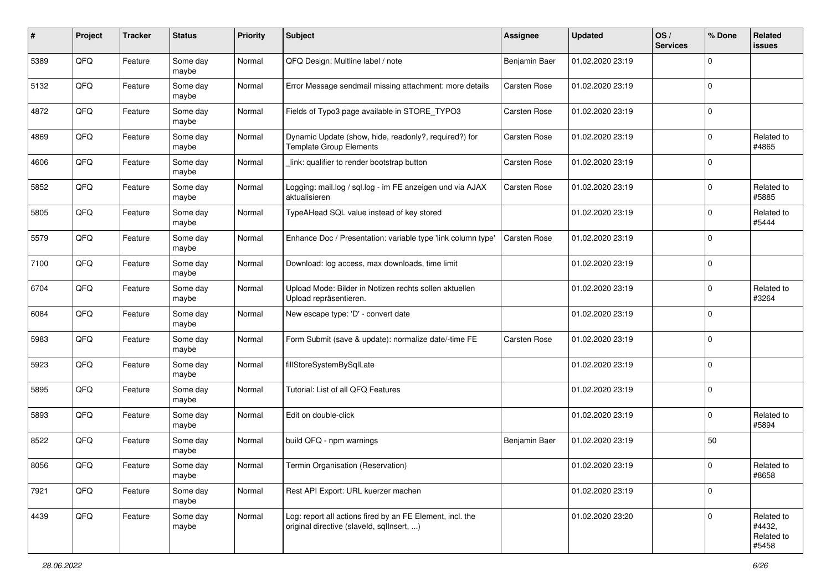| $\sharp$ | Project | <b>Tracker</b> | <b>Status</b>     | <b>Priority</b> | Subject                                                                                                | Assignee      | <b>Updated</b>   | OS/<br><b>Services</b> | % Done      | Related<br><b>issues</b>                    |
|----------|---------|----------------|-------------------|-----------------|--------------------------------------------------------------------------------------------------------|---------------|------------------|------------------------|-------------|---------------------------------------------|
| 5389     | QFQ     | Feature        | Some day<br>maybe | Normal          | QFQ Design: Multline label / note                                                                      | Benjamin Baer | 01.02.2020 23:19 |                        | $\mathbf 0$ |                                             |
| 5132     | QFQ     | Feature        | Some day<br>maybe | Normal          | Error Message sendmail missing attachment: more details                                                | Carsten Rose  | 01.02.2020 23:19 |                        | $\mathbf 0$ |                                             |
| 4872     | QFQ     | Feature        | Some day<br>maybe | Normal          | Fields of Typo3 page available in STORE_TYPO3                                                          | Carsten Rose  | 01.02.2020 23:19 |                        | $\mathbf 0$ |                                             |
| 4869     | QFQ     | Feature        | Some day<br>maybe | Normal          | Dynamic Update (show, hide, readonly?, required?) for<br><b>Template Group Elements</b>                | Carsten Rose  | 01.02.2020 23:19 |                        | $\mathbf 0$ | Related to<br>#4865                         |
| 4606     | QFQ     | Feature        | Some day<br>maybe | Normal          | link: qualifier to render bootstrap button                                                             | Carsten Rose  | 01.02.2020 23:19 |                        | $\mathbf 0$ |                                             |
| 5852     | QFQ     | Feature        | Some day<br>maybe | Normal          | Logging: mail.log / sql.log - im FE anzeigen und via AJAX<br>aktualisieren                             | Carsten Rose  | 01.02.2020 23:19 |                        | $\mathbf 0$ | Related to<br>#5885                         |
| 5805     | QFQ     | Feature        | Some day<br>maybe | Normal          | TypeAHead SQL value instead of key stored                                                              |               | 01.02.2020 23:19 |                        | $\mathbf 0$ | Related to<br>#5444                         |
| 5579     | QFQ     | Feature        | Some day<br>maybe | Normal          | Enhance Doc / Presentation: variable type 'link column type'                                           | Carsten Rose  | 01.02.2020 23:19 |                        | $\mathbf 0$ |                                             |
| 7100     | QFQ     | Feature        | Some day<br>maybe | Normal          | Download: log access, max downloads, time limit                                                        |               | 01.02.2020 23:19 |                        | $\mathbf 0$ |                                             |
| 6704     | QFQ     | Feature        | Some day<br>maybe | Normal          | Upload Mode: Bilder in Notizen rechts sollen aktuellen<br>Upload repräsentieren.                       |               | 01.02.2020 23:19 |                        | $\mathbf 0$ | Related to<br>#3264                         |
| 6084     | QFQ     | Feature        | Some day<br>maybe | Normal          | New escape type: 'D' - convert date                                                                    |               | 01.02.2020 23:19 |                        | $\mathbf 0$ |                                             |
| 5983     | QFQ     | Feature        | Some day<br>maybe | Normal          | Form Submit (save & update): normalize date/-time FE                                                   | Carsten Rose  | 01.02.2020 23:19 |                        | $\mathbf 0$ |                                             |
| 5923     | QFQ     | Feature        | Some day<br>maybe | Normal          | fillStoreSystemBySqlLate                                                                               |               | 01.02.2020 23:19 |                        | $\mathbf 0$ |                                             |
| 5895     | QFQ     | Feature        | Some day<br>maybe | Normal          | Tutorial: List of all QFQ Features                                                                     |               | 01.02.2020 23:19 |                        | $\mathbf 0$ |                                             |
| 5893     | QFQ     | Feature        | Some day<br>maybe | Normal          | Edit on double-click                                                                                   |               | 01.02.2020 23:19 |                        | $\mathbf 0$ | Related to<br>#5894                         |
| 8522     | QFQ     | Feature        | Some day<br>maybe | Normal          | build QFQ - npm warnings                                                                               | Benjamin Baer | 01.02.2020 23:19 |                        | 50          |                                             |
| 8056     | QFQ     | Feature        | Some day<br>maybe | Normal          | Termin Organisation (Reservation)                                                                      |               | 01.02.2020 23:19 |                        | $\mathbf 0$ | Related to<br>#8658                         |
| 7921     | QFQ     | Feature        | Some day<br>maybe | Normal          | Rest API Export: URL kuerzer machen                                                                    |               | 01.02.2020 23:19 |                        | $\mathbf 0$ |                                             |
| 4439     | QFQ     | Feature        | Some day<br>maybe | Normal          | Log: report all actions fired by an FE Element, incl. the<br>original directive (slaveld, sqllnsert, ) |               | 01.02.2020 23:20 |                        | $\mathbf 0$ | Related to<br>#4432,<br>Related to<br>#5458 |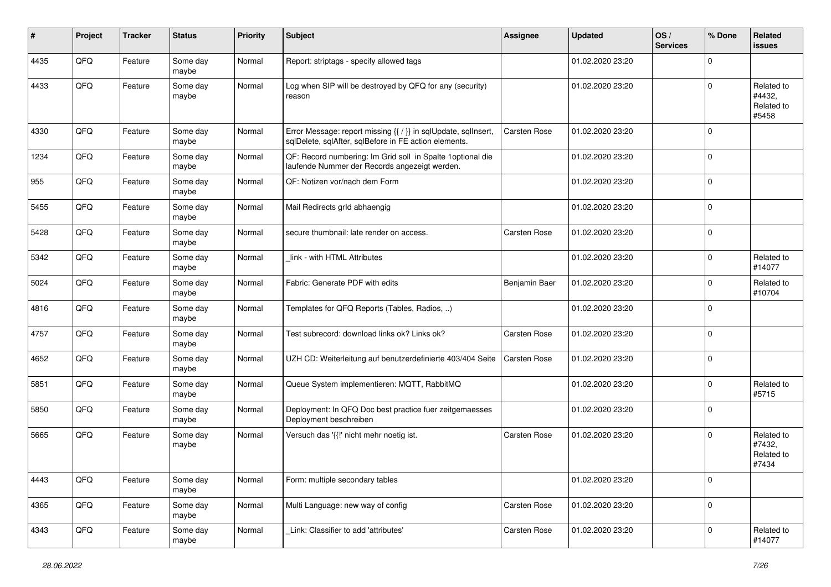| $\sharp$ | Project | <b>Tracker</b> | <b>Status</b>     | <b>Priority</b> | <b>Subject</b>                                                                                                          | <b>Assignee</b>     | <b>Updated</b>   | OS/<br><b>Services</b> | % Done      | Related<br>issues                           |
|----------|---------|----------------|-------------------|-----------------|-------------------------------------------------------------------------------------------------------------------------|---------------------|------------------|------------------------|-------------|---------------------------------------------|
| 4435     | QFQ     | Feature        | Some day<br>maybe | Normal          | Report: striptags - specify allowed tags                                                                                |                     | 01.02.2020 23:20 |                        | $\Omega$    |                                             |
| 4433     | QFQ     | Feature        | Some day<br>maybe | Normal          | Log when SIP will be destroyed by QFQ for any (security)<br>reason                                                      |                     | 01.02.2020 23:20 |                        | l 0         | Related to<br>#4432,<br>Related to<br>#5458 |
| 4330     | QFQ     | Feature        | Some day<br>maybe | Normal          | Error Message: report missing {{ / }} in sqlUpdate, sqlInsert,<br>sqlDelete, sqlAfter, sqlBefore in FE action elements. | <b>Carsten Rose</b> | 01.02.2020 23:20 |                        | $\Omega$    |                                             |
| 1234     | QFQ     | Feature        | Some day<br>maybe | Normal          | QF: Record numbering: Im Grid soll in Spalte 1optional die<br>laufende Nummer der Records angezeigt werden.             |                     | 01.02.2020 23:20 |                        | l 0         |                                             |
| 955      | QFQ     | Feature        | Some day<br>maybe | Normal          | QF: Notizen vor/nach dem Form                                                                                           |                     | 01.02.2020 23:20 |                        | $\Omega$    |                                             |
| 5455     | QFQ     | Feature        | Some day<br>maybe | Normal          | Mail Redirects grld abhaengig                                                                                           |                     | 01.02.2020 23:20 |                        | l 0         |                                             |
| 5428     | QFQ     | Feature        | Some day<br>maybe | Normal          | secure thumbnail: late render on access.                                                                                | <b>Carsten Rose</b> | 01.02.2020 23:20 |                        | l 0         |                                             |
| 5342     | QFQ     | Feature        | Some day<br>maybe | Normal          | link - with HTML Attributes                                                                                             |                     | 01.02.2020 23:20 |                        | l 0         | Related to<br>#14077                        |
| 5024     | QFQ     | Feature        | Some day<br>maybe | Normal          | Fabric: Generate PDF with edits                                                                                         | Benjamin Baer       | 01.02.2020 23:20 |                        | $\Omega$    | Related to<br>#10704                        |
| 4816     | QFQ     | Feature        | Some day<br>maybe | Normal          | Templates for QFQ Reports (Tables, Radios, )                                                                            |                     | 01.02.2020 23:20 |                        | $\mathbf 0$ |                                             |
| 4757     | QFQ     | Feature        | Some day<br>maybe | Normal          | Test subrecord: download links ok? Links ok?                                                                            | <b>Carsten Rose</b> | 01.02.2020 23:20 |                        | l 0         |                                             |
| 4652     | QFQ     | Feature        | Some day<br>maybe | Normal          | UZH CD: Weiterleitung auf benutzerdefinierte 403/404 Seite                                                              | <b>Carsten Rose</b> | 01.02.2020 23:20 |                        | $\Omega$    |                                             |
| 5851     | QFQ     | Feature        | Some day<br>maybe | Normal          | Queue System implementieren: MQTT, RabbitMQ                                                                             |                     | 01.02.2020 23:20 |                        | $\Omega$    | Related to<br>#5715                         |
| 5850     | QFQ     | Feature        | Some day<br>maybe | Normal          | Deployment: In QFQ Doc best practice fuer zeitgemaesses<br>Deployment beschreiben                                       |                     | 01.02.2020 23:20 |                        | $\Omega$    |                                             |
| 5665     | QFQ     | Feature        | Some day<br>maybe | Normal          | Versuch das '{{!' nicht mehr noetig ist.                                                                                | <b>Carsten Rose</b> | 01.02.2020 23:20 |                        | l 0         | Related to<br>#7432,<br>Related to<br>#7434 |
| 4443     | QFQ     | Feature        | Some day<br>maybe | Normal          | Form: multiple secondary tables                                                                                         |                     | 01.02.2020 23:20 |                        | 0           |                                             |
| 4365     | QFQ     | Feature        | Some day<br>maybe | Normal          | Multi Language: new way of config                                                                                       | Carsten Rose        | 01.02.2020 23:20 |                        | 0           |                                             |
| 4343     | QFQ     | Feature        | Some day<br>maybe | Normal          | Link: Classifier to add 'attributes'                                                                                    | Carsten Rose        | 01.02.2020 23:20 |                        | $\mathbf 0$ | Related to<br>#14077                        |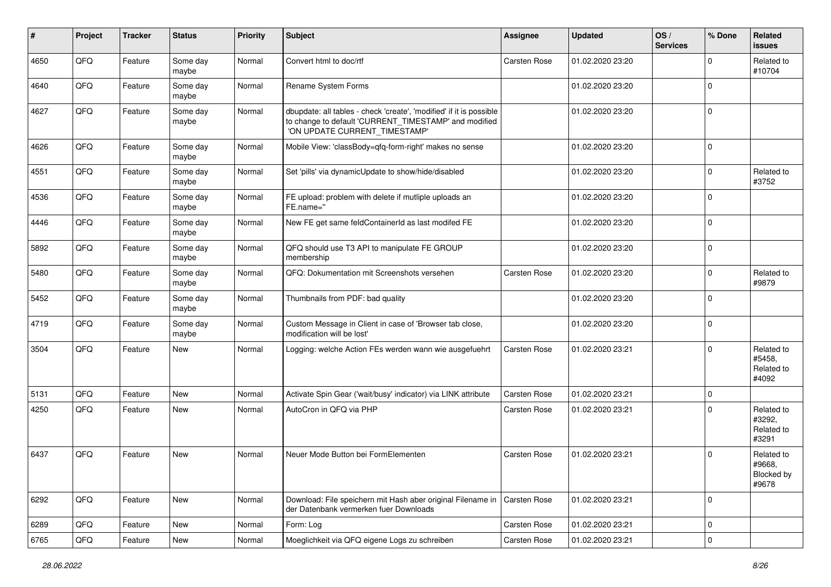| #    | Project | <b>Tracker</b> | <b>Status</b>     | Priority | Subject                                                                                                                                                       | <b>Assignee</b>     | <b>Updated</b>   | OS/<br><b>Services</b> | % Done      | Related<br><b>issues</b>                    |
|------|---------|----------------|-------------------|----------|---------------------------------------------------------------------------------------------------------------------------------------------------------------|---------------------|------------------|------------------------|-------------|---------------------------------------------|
| 4650 | QFQ     | Feature        | Some day<br>maybe | Normal   | Convert html to doc/rtf                                                                                                                                       | Carsten Rose        | 01.02.2020 23:20 |                        | $\Omega$    | Related to<br>#10704                        |
| 4640 | QFQ     | Feature        | Some day<br>maybe | Normal   | Rename System Forms                                                                                                                                           |                     | 01.02.2020 23:20 |                        | $\mathbf 0$ |                                             |
| 4627 | QFQ     | Feature        | Some day<br>maybe | Normal   | dbupdate: all tables - check 'create', 'modified' if it is possible<br>to change to default 'CURRENT_TIMESTAMP' and modified<br>'ON UPDATE CURRENT_TIMESTAMP' |                     | 01.02.2020 23:20 |                        | $\mathbf 0$ |                                             |
| 4626 | QFQ     | Feature        | Some day<br>maybe | Normal   | Mobile View: 'classBody=qfq-form-right' makes no sense                                                                                                        |                     | 01.02.2020 23:20 |                        | $\mathbf 0$ |                                             |
| 4551 | QFQ     | Feature        | Some day<br>maybe | Normal   | Set 'pills' via dynamicUpdate to show/hide/disabled                                                                                                           |                     | 01.02.2020 23:20 |                        | $\mathbf 0$ | Related to<br>#3752                         |
| 4536 | QFQ     | Feature        | Some day<br>maybe | Normal   | FE upload: problem with delete if mutliple uploads an<br>FE.name="                                                                                            |                     | 01.02.2020 23:20 |                        | $\mathbf 0$ |                                             |
| 4446 | QFQ     | Feature        | Some day<br>maybe | Normal   | New FE get same feldContainerId as last modifed FE                                                                                                            |                     | 01.02.2020 23:20 |                        | $\mathbf 0$ |                                             |
| 5892 | QFQ     | Feature        | Some day<br>maybe | Normal   | QFQ should use T3 API to manipulate FE GROUP<br>membership                                                                                                    |                     | 01.02.2020 23:20 |                        | $\Omega$    |                                             |
| 5480 | QFQ     | Feature        | Some day<br>maybe | Normal   | QFQ: Dokumentation mit Screenshots versehen                                                                                                                   | <b>Carsten Rose</b> | 01.02.2020 23:20 |                        | $\mathbf 0$ | Related to<br>#9879                         |
| 5452 | QFQ     | Feature        | Some day<br>maybe | Normal   | Thumbnails from PDF: bad quality                                                                                                                              |                     | 01.02.2020 23:20 |                        | $\Omega$    |                                             |
| 4719 | QFQ     | Feature        | Some day<br>maybe | Normal   | Custom Message in Client in case of 'Browser tab close,<br>modification will be lost'                                                                         |                     | 01.02.2020 23:20 |                        | $\mathbf 0$ |                                             |
| 3504 | QFQ     | Feature        | <b>New</b>        | Normal   | Logging: welche Action FEs werden wann wie ausgefuehrt                                                                                                        | Carsten Rose        | 01.02.2020 23:21 |                        | $\Omega$    | Related to<br>#5458,<br>Related to<br>#4092 |
| 5131 | QFQ     | Feature        | <b>New</b>        | Normal   | Activate Spin Gear ('wait/busy' indicator) via LINK attribute                                                                                                 | <b>Carsten Rose</b> | 01.02.2020 23:21 |                        | $\mathbf 0$ |                                             |
| 4250 | QFQ     | Feature        | <b>New</b>        | Normal   | AutoCron in QFQ via PHP                                                                                                                                       | <b>Carsten Rose</b> | 01.02.2020 23:21 |                        | $\Omega$    | Related to<br>#3292,<br>Related to<br>#3291 |
| 6437 | QFQ     | Feature        | <b>New</b>        | Normal   | Neuer Mode Button bei FormElementen                                                                                                                           | <b>Carsten Rose</b> | 01.02.2020 23:21 |                        | $\Omega$    | Related to<br>#9668,<br>Blocked by<br>#9678 |
| 6292 | QFQ     | Feature        | New               | Normal   | Download: File speichern mit Hash aber original Filename in<br>der Datenbank vermerken fuer Downloads                                                         | Carsten Rose        | 01.02.2020 23:21 |                        | 0           |                                             |
| 6289 | QFQ     | Feature        | New               | Normal   | Form: Log                                                                                                                                                     | Carsten Rose        | 01.02.2020 23:21 |                        | $\mathbf 0$ |                                             |
| 6765 | QFQ     | Feature        | New               | Normal   | Moeglichkeit via QFQ eigene Logs zu schreiben                                                                                                                 | Carsten Rose        | 01.02.2020 23:21 |                        | $\pmb{0}$   |                                             |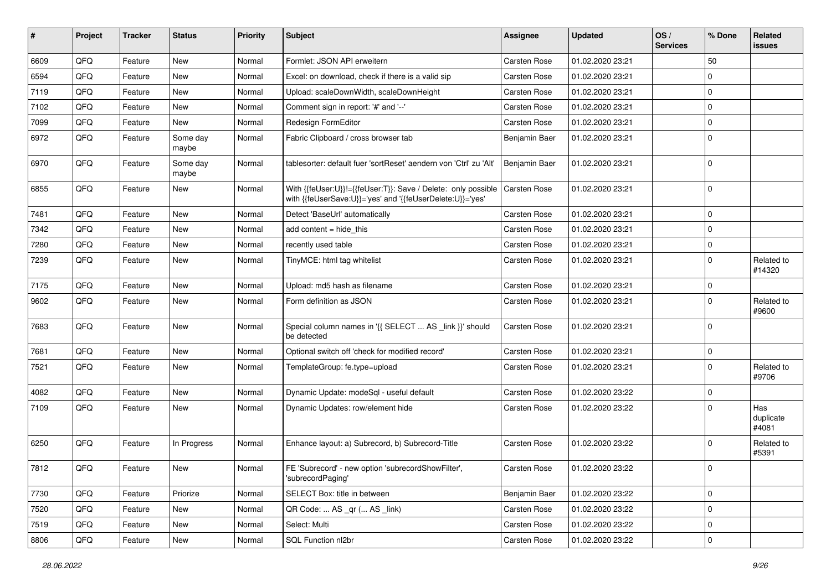| ∦    | Project | <b>Tracker</b> | <b>Status</b>     | <b>Priority</b> | Subject                                                                                                                    | Assignee            | <b>Updated</b>   | OS/<br><b>Services</b> | % Done      | Related<br><b>issues</b>  |
|------|---------|----------------|-------------------|-----------------|----------------------------------------------------------------------------------------------------------------------------|---------------------|------------------|------------------------|-------------|---------------------------|
| 6609 | QFQ     | Feature        | New               | Normal          | Formlet: JSON API erweitern                                                                                                | Carsten Rose        | 01.02.2020 23:21 |                        | 50          |                           |
| 6594 | QFQ     | Feature        | New               | Normal          | Excel: on download, check if there is a valid sip                                                                          | Carsten Rose        | 01.02.2020 23:21 |                        | $\mathbf 0$ |                           |
| 7119 | QFQ     | Feature        | New               | Normal          | Upload: scaleDownWidth, scaleDownHeight                                                                                    | Carsten Rose        | 01.02.2020 23:21 |                        | $\mathbf 0$ |                           |
| 7102 | QFQ     | Feature        | New               | Normal          | Comment sign in report: '#' and '--'                                                                                       | Carsten Rose        | 01.02.2020 23:21 |                        | $\mathbf 0$ |                           |
| 7099 | QFQ     | Feature        | New               | Normal          | Redesign FormEditor                                                                                                        | Carsten Rose        | 01.02.2020 23:21 |                        | $\mathbf 0$ |                           |
| 6972 | QFQ     | Feature        | Some day<br>maybe | Normal          | Fabric Clipboard / cross browser tab                                                                                       | Benjamin Baer       | 01.02.2020 23:21 |                        | $\mathbf 0$ |                           |
| 6970 | QFQ     | Feature        | Some day<br>maybe | Normal          | tablesorter: default fuer 'sortReset' aendern von 'Ctrl' zu 'Alt'                                                          | Benjamin Baer       | 01.02.2020 23:21 |                        | $\mathbf 0$ |                           |
| 6855 | QFQ     | Feature        | New               | Normal          | With {{feUser:U}}!={{feUser:T}}: Save / Delete: only possible<br>with {{feUserSave:U}}='yes' and '{{feUserDelete:U}}='yes' | <b>Carsten Rose</b> | 01.02.2020 23:21 |                        | $\mathbf 0$ |                           |
| 7481 | QFQ     | Feature        | New               | Normal          | Detect 'BaseUrl' automatically                                                                                             | Carsten Rose        | 01.02.2020 23:21 |                        | $\mathbf 0$ |                           |
| 7342 | QFQ     | Feature        | New               | Normal          | add content $=$ hide this                                                                                                  | Carsten Rose        | 01.02.2020 23:21 |                        | $\mathbf 0$ |                           |
| 7280 | QFQ     | Feature        | New               | Normal          | recently used table                                                                                                        | Carsten Rose        | 01.02.2020 23:21 |                        | $\mathbf 0$ |                           |
| 7239 | QFQ     | Feature        | New               | Normal          | TinyMCE: html tag whitelist                                                                                                | Carsten Rose        | 01.02.2020 23:21 |                        | $\mathbf 0$ | Related to<br>#14320      |
| 7175 | QFQ     | Feature        | New               | Normal          | Upload: md5 hash as filename                                                                                               | Carsten Rose        | 01.02.2020 23:21 |                        | $\mathbf 0$ |                           |
| 9602 | QFQ     | Feature        | New               | Normal          | Form definition as JSON                                                                                                    | Carsten Rose        | 01.02.2020 23:21 |                        | $\mathbf 0$ | Related to<br>#9600       |
| 7683 | QFQ     | Feature        | New               | Normal          | Special column names in '{{ SELECT  AS _link }}' should<br>be detected                                                     | Carsten Rose        | 01.02.2020 23:21 |                        | $\mathbf 0$ |                           |
| 7681 | QFQ     | Feature        | New               | Normal          | Optional switch off 'check for modified record'                                                                            | Carsten Rose        | 01.02.2020 23:21 |                        | $\mathbf 0$ |                           |
| 7521 | QFQ     | Feature        | New               | Normal          | TemplateGroup: fe.type=upload                                                                                              | Carsten Rose        | 01.02.2020 23:21 |                        | $\mathbf 0$ | Related to<br>#9706       |
| 4082 | QFQ     | Feature        | New               | Normal          | Dynamic Update: modeSql - useful default                                                                                   | Carsten Rose        | 01.02.2020 23:22 |                        | $\mathbf 0$ |                           |
| 7109 | QFQ     | Feature        | New               | Normal          | Dynamic Updates: row/element hide                                                                                          | Carsten Rose        | 01.02.2020 23:22 |                        | $\mathbf 0$ | Has<br>duplicate<br>#4081 |
| 6250 | QFQ     | Feature        | In Progress       | Normal          | Enhance layout: a) Subrecord, b) Subrecord-Title                                                                           | Carsten Rose        | 01.02.2020 23:22 |                        | $\mathbf 0$ | Related to<br>#5391       |
| 7812 | QFG     | Feature        | New               | Normal          | FE 'Subrecord' - new option 'subrecordShowFilter',<br>'subrecordPaging'                                                    | Carsten Rose        | 01.02.2020 23:22 |                        | $\mathbf 0$ |                           |
| 7730 | QFQ     | Feature        | Priorize          | Normal          | SELECT Box: title in between                                                                                               | Benjamin Baer       | 01.02.2020 23:22 |                        | $\mathbf 0$ |                           |
| 7520 | QFQ     | Feature        | New               | Normal          | QR Code:  AS _qr ( AS _link)                                                                                               | Carsten Rose        | 01.02.2020 23:22 |                        | $\mathbf 0$ |                           |
| 7519 | QFQ     | Feature        | New               | Normal          | Select: Multi                                                                                                              | Carsten Rose        | 01.02.2020 23:22 |                        | $\mathbf 0$ |                           |
| 8806 | QFQ     | Feature        | New               | Normal          | SQL Function nl2br                                                                                                         | Carsten Rose        | 01.02.2020 23:22 |                        | $\mathbf 0$ |                           |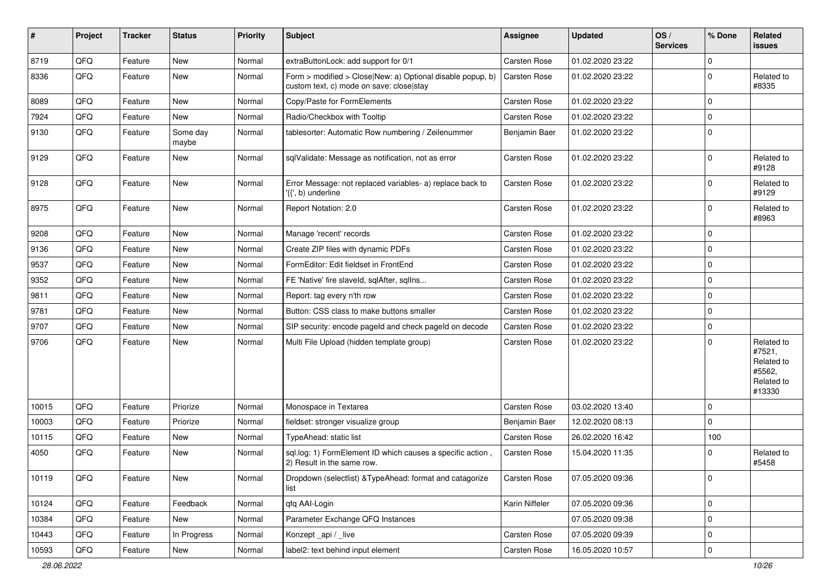| $\vert$ # | Project | <b>Tracker</b> | <b>Status</b>     | <b>Priority</b> | Subject                                                                                                | <b>Assignee</b>     | <b>Updated</b>   | OS/<br><b>Services</b> | % Done      | Related<br><b>issues</b>                                             |
|-----------|---------|----------------|-------------------|-----------------|--------------------------------------------------------------------------------------------------------|---------------------|------------------|------------------------|-------------|----------------------------------------------------------------------|
| 8719      | QFQ     | Feature        | New               | Normal          | extraButtonLock: add support for 0/1                                                                   | Carsten Rose        | 01.02.2020 23:22 |                        | $\mathbf 0$ |                                                                      |
| 8336      | QFQ     | Feature        | New               | Normal          | Form > modified > Close New: a) Optional disable popup, b)<br>custom text, c) mode on save: close stay | <b>Carsten Rose</b> | 01.02.2020 23:22 |                        | $\mathbf 0$ | Related to<br>#8335                                                  |
| 8089      | QFQ     | Feature        | New               | Normal          | Copy/Paste for FormElements                                                                            | <b>Carsten Rose</b> | 01.02.2020 23:22 |                        | $\mathbf 0$ |                                                                      |
| 7924      | QFQ     | Feature        | New               | Normal          | Radio/Checkbox with Tooltip                                                                            | <b>Carsten Rose</b> | 01.02.2020 23:22 |                        | $\Omega$    |                                                                      |
| 9130      | QFQ     | Feature        | Some day<br>maybe | Normal          | tablesorter: Automatic Row numbering / Zeilenummer                                                     | Benjamin Baer       | 01.02.2020 23:22 |                        | $\Omega$    |                                                                      |
| 9129      | QFQ     | Feature        | New               | Normal          | sqlValidate: Message as notification, not as error                                                     | Carsten Rose        | 01.02.2020 23:22 |                        | $\Omega$    | Related to<br>#9128                                                  |
| 9128      | QFQ     | Feature        | New               | Normal          | Error Message: not replaced variables- a) replace back to<br>'{{', b) underline                        | <b>Carsten Rose</b> | 01.02.2020 23:22 |                        | 0           | Related to<br>#9129                                                  |
| 8975      | QFQ     | Feature        | New               | Normal          | Report Notation: 2.0                                                                                   | <b>Carsten Rose</b> | 01.02.2020 23:22 |                        | $\mathbf 0$ | Related to<br>#8963                                                  |
| 9208      | QFQ     | Feature        | New               | Normal          | Manage 'recent' records                                                                                | <b>Carsten Rose</b> | 01.02.2020 23:22 |                        | $\mathbf 0$ |                                                                      |
| 9136      | QFQ     | Feature        | New               | Normal          | Create ZIP files with dynamic PDFs                                                                     | <b>Carsten Rose</b> | 01.02.2020 23:22 |                        | $\mathbf 0$ |                                                                      |
| 9537      | QFQ     | Feature        | New               | Normal          | FormEditor: Edit fieldset in FrontEnd                                                                  | <b>Carsten Rose</b> | 01.02.2020 23:22 |                        | $\Omega$    |                                                                      |
| 9352      | QFQ     | Feature        | New               | Normal          | FE 'Native' fire slaveld, sqlAfter, sqlIns                                                             | <b>Carsten Rose</b> | 01.02.2020 23:22 |                        | $\mathbf 0$ |                                                                      |
| 9811      | QFQ     | Feature        | New               | Normal          | Report: tag every n'th row                                                                             | Carsten Rose        | 01.02.2020 23:22 |                        | 0           |                                                                      |
| 9781      | QFQ     | Feature        | New               | Normal          | Button: CSS class to make buttons smaller                                                              | <b>Carsten Rose</b> | 01.02.2020 23:22 |                        | $\mathbf 0$ |                                                                      |
| 9707      | QFQ     | Feature        | New               | Normal          | SIP security: encode pageld and check pageld on decode                                                 | Carsten Rose        | 01.02.2020 23:22 |                        | $\mathbf 0$ |                                                                      |
| 9706      | QFQ     | Feature        | New               | Normal          | Multi File Upload (hidden template group)                                                              | <b>Carsten Rose</b> | 01.02.2020 23:22 |                        | $\Omega$    | Related to<br>#7521,<br>Related to<br>#5562,<br>Related to<br>#13330 |
| 10015     | QFQ     | Feature        | Priorize          | Normal          | Monospace in Textarea                                                                                  | <b>Carsten Rose</b> | 03.02.2020 13:40 |                        | $\Omega$    |                                                                      |
| 10003     | QFQ     | Feature        | Priorize          | Normal          | fieldset: stronger visualize group                                                                     | Benjamin Baer       | 12.02.2020 08:13 |                        | $\mathbf 0$ |                                                                      |
| 10115     | QFQ     | Feature        | New               | Normal          | TypeAhead: static list                                                                                 | <b>Carsten Rose</b> | 26.02.2020 16:42 |                        | 100         |                                                                      |
| 4050      | QFQ     | Feature        | New               | Normal          | sql.log: 1) FormElement ID which causes a specific action,<br>2) Result in the same row.               | <b>Carsten Rose</b> | 15.04.2020 11:35 |                        | $\Omega$    | Related to<br>#5458                                                  |
| 10119     | QFQ     | Feature        | New               | Normal          | Dropdown (selectlist) & TypeAhead: format and catagorize<br>list                                       | Carsten Rose        | 07.05.2020 09:36 |                        | 0           |                                                                      |
| 10124     | QFO     | Feature        | Feedback          | Normal          | qfq AAI-Login                                                                                          | Karin Niffeler      | 07.05.2020 09:36 |                        | $\mathbf 0$ |                                                                      |
| 10384     | QFQ     | Feature        | New               | Normal          | Parameter Exchange QFQ Instances                                                                       |                     | 07.05.2020 09:38 |                        | 0           |                                                                      |
| 10443     | QFQ     | Feature        | In Progress       | Normal          | Konzept_api / _live                                                                                    | Carsten Rose        | 07.05.2020 09:39 |                        | $\mathbf 0$ |                                                                      |
| 10593     | QFQ     | Feature        | New               | Normal          | label2: text behind input element                                                                      | Carsten Rose        | 16.05.2020 10:57 |                        | $\mathbf 0$ |                                                                      |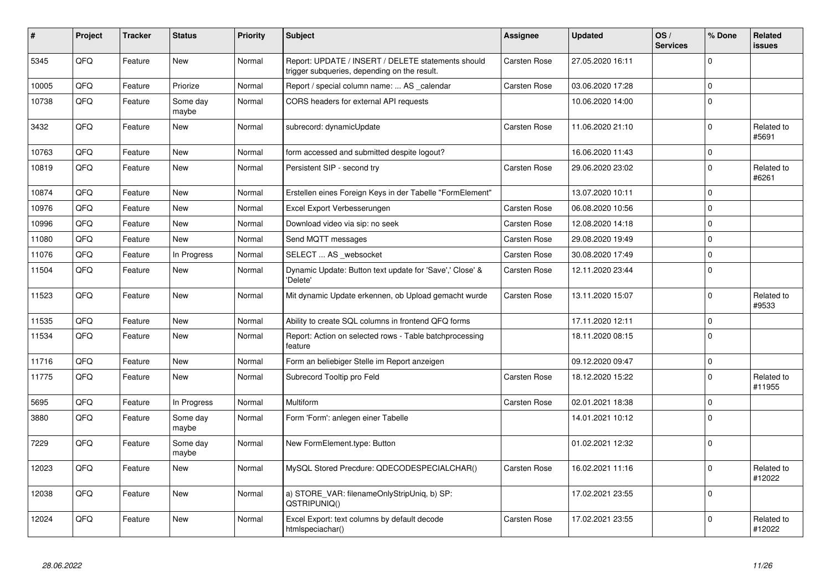| #     | Project | <b>Tracker</b> | <b>Status</b>     | <b>Priority</b> | <b>Subject</b>                                                                                     | Assignee            | <b>Updated</b>   | OS/<br><b>Services</b> | % Done              | <b>Related</b><br><b>issues</b> |
|-------|---------|----------------|-------------------|-----------------|----------------------------------------------------------------------------------------------------|---------------------|------------------|------------------------|---------------------|---------------------------------|
| 5345  | QFQ     | Feature        | <b>New</b>        | Normal          | Report: UPDATE / INSERT / DELETE statements should<br>trigger subqueries, depending on the result. | <b>Carsten Rose</b> | 27.05.2020 16:11 |                        | $\mathbf 0$         |                                 |
| 10005 | QFQ     | Feature        | Priorize          | Normal          | Report / special column name:  AS calendar                                                         | Carsten Rose        | 03.06.2020 17:28 |                        | $\mathsf 0$         |                                 |
| 10738 | QFQ     | Feature        | Some day<br>maybe | Normal          | CORS headers for external API requests                                                             |                     | 10.06.2020 14:00 |                        | $\mathbf 0$         |                                 |
| 3432  | QFQ     | Feature        | New               | Normal          | subrecord: dynamicUpdate                                                                           | Carsten Rose        | 11.06.2020 21:10 |                        | $\mathbf 0$         | Related to<br>#5691             |
| 10763 | QFQ     | Feature        | <b>New</b>        | Normal          | form accessed and submitted despite logout?                                                        |                     | 16.06.2020 11:43 |                        | $\mathsf{O}\xspace$ |                                 |
| 10819 | QFQ     | Feature        | New               | Normal          | Persistent SIP - second try                                                                        | Carsten Rose        | 29.06.2020 23:02 |                        | $\Omega$            | Related to<br>#6261             |
| 10874 | QFQ     | Feature        | New               | Normal          | Erstellen eines Foreign Keys in der Tabelle "FormElement"                                          |                     | 13.07.2020 10:11 |                        | $\mathbf 0$         |                                 |
| 10976 | QFQ     | Feature        | <b>New</b>        | Normal          | Excel Export Verbesserungen                                                                        | Carsten Rose        | 06.08.2020 10:56 |                        | $\mathbf 0$         |                                 |
| 10996 | QFQ     | Feature        | <b>New</b>        | Normal          | Download video via sip: no seek                                                                    | Carsten Rose        | 12.08.2020 14:18 |                        | $\pmb{0}$           |                                 |
| 11080 | QFQ     | Feature        | New               | Normal          | Send MQTT messages                                                                                 | Carsten Rose        | 29.08.2020 19:49 |                        | $\mathbf 0$         |                                 |
| 11076 | QFQ     | Feature        | In Progress       | Normal          | SELECT  AS _websocket                                                                              | Carsten Rose        | 30.08.2020 17:49 |                        | $\mathsf{O}\xspace$ |                                 |
| 11504 | QFQ     | Feature        | <b>New</b>        | Normal          | Dynamic Update: Button text update for 'Save',' Close' &<br>'Delete'                               | Carsten Rose        | 12.11.2020 23:44 |                        | $\mathbf 0$         |                                 |
| 11523 | QFQ     | Feature        | <b>New</b>        | Normal          | Mit dynamic Update erkennen, ob Upload gemacht wurde                                               | Carsten Rose        | 13.11.2020 15:07 |                        | $\mathbf 0$         | Related to<br>#9533             |
| 11535 | QFQ     | Feature        | New               | Normal          | Ability to create SQL columns in frontend QFQ forms                                                |                     | 17.11.2020 12:11 |                        | $\Omega$            |                                 |
| 11534 | QFQ     | Feature        | <b>New</b>        | Normal          | Report: Action on selected rows - Table batchprocessing<br>feature                                 |                     | 18.11.2020 08:15 |                        | $\mathbf 0$         |                                 |
| 11716 | QFQ     | Feature        | New               | Normal          | Form an beliebiger Stelle im Report anzeigen                                                       |                     | 09.12.2020 09:47 |                        | $\mathsf 0$         |                                 |
| 11775 | QFQ     | Feature        | New               | Normal          | Subrecord Tooltip pro Feld                                                                         | Carsten Rose        | 18.12.2020 15:22 |                        | $\mathbf 0$         | Related to<br>#11955            |
| 5695  | QFQ     | Feature        | In Progress       | Normal          | Multiform                                                                                          | <b>Carsten Rose</b> | 02.01.2021 18:38 |                        | $\mathbf 0$         |                                 |
| 3880  | QFQ     | Feature        | Some day<br>maybe | Normal          | Form 'Form': anlegen einer Tabelle                                                                 |                     | 14.01.2021 10:12 |                        | $\mathbf 0$         |                                 |
| 7229  | QFQ     | Feature        | Some day<br>maybe | Normal          | New FormElement.type: Button                                                                       |                     | 01.02.2021 12:32 |                        | $\Omega$            |                                 |
| 12023 | QFQ     | Feature        | New               | Normal          | MySQL Stored Precdure: QDECODESPECIALCHAR()                                                        | <b>Carsten Rose</b> | 16.02.2021 11:16 |                        | $\Omega$            | Related to<br>#12022            |
| 12038 | QFQ     | Feature        | New               | Normal          | a) STORE_VAR: filenameOnlyStripUniq, b) SP:<br>QSTRIPUNIQ()                                        |                     | 17.02.2021 23:55 |                        | $\mathbf 0$         |                                 |
| 12024 | QFQ     | Feature        | New               | Normal          | Excel Export: text columns by default decode<br>htmlspeciachar()                                   | Carsten Rose        | 17.02.2021 23:55 |                        | $\mathbf 0$         | Related to<br>#12022            |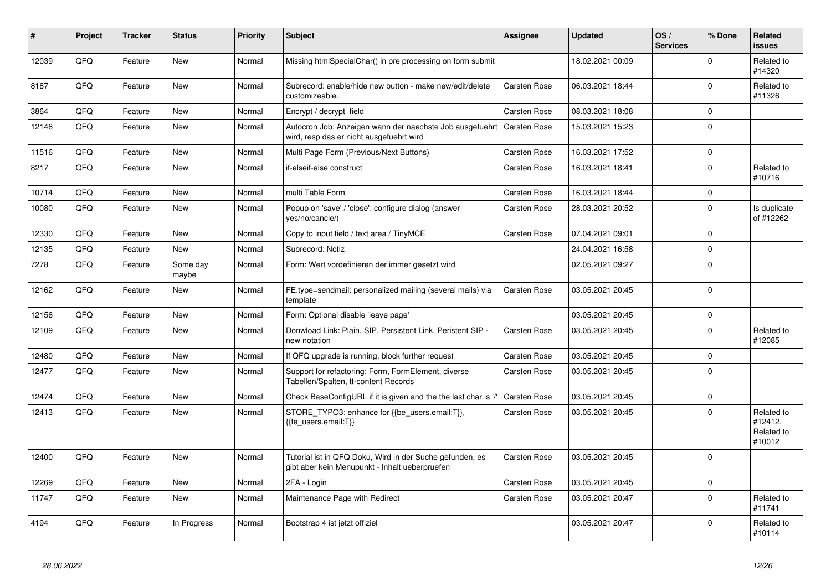| #     | Project | <b>Tracker</b> | <b>Status</b>     | <b>Priority</b> | <b>Subject</b>                                                                                             | Assignee            | <b>Updated</b>   | OS/<br><b>Services</b> | % Done      | Related<br><b>issues</b>                      |
|-------|---------|----------------|-------------------|-----------------|------------------------------------------------------------------------------------------------------------|---------------------|------------------|------------------------|-------------|-----------------------------------------------|
| 12039 | QFQ     | Feature        | <b>New</b>        | Normal          | Missing htmlSpecialChar() in pre processing on form submit                                                 |                     | 18.02.2021 00:09 |                        | $\Omega$    | Related to<br>#14320                          |
| 8187  | QFQ     | Feature        | <b>New</b>        | Normal          | Subrecord: enable/hide new button - make new/edit/delete<br>customizeable.                                 | Carsten Rose        | 06.03.2021 18:44 |                        | $\Omega$    | Related to<br>#11326                          |
| 3864  | QFQ     | Feature        | New               | Normal          | Encrypt / decrypt field                                                                                    | Carsten Rose        | 08.03.2021 18:08 |                        | $\mathbf 0$ |                                               |
| 12146 | QFQ     | Feature        | New               | Normal          | Autocron Job: Anzeigen wann der naechste Job ausgefuehrt<br>wird, resp das er nicht ausgefuehrt wird       | <b>Carsten Rose</b> | 15.03.2021 15:23 |                        | $\Omega$    |                                               |
| 11516 | QFQ     | Feature        | New               | Normal          | Multi Page Form (Previous/Next Buttons)                                                                    | Carsten Rose        | 16.03.2021 17:52 |                        | $\mathbf 0$ |                                               |
| 8217  | QFQ     | Feature        | New               | Normal          | if-elseif-else construct                                                                                   | <b>Carsten Rose</b> | 16.03.2021 18:41 |                        | $\pmb{0}$   | Related to<br>#10716                          |
| 10714 | QFQ     | Feature        | New               | Normal          | multi Table Form                                                                                           | Carsten Rose        | 16.03.2021 18:44 |                        | $\mathbf 0$ |                                               |
| 10080 | QFQ     | Feature        | New               | Normal          | Popup on 'save' / 'close': configure dialog (answer<br>yes/no/cancle/)                                     | Carsten Rose        | 28.03.2021 20:52 |                        | $\mathbf 0$ | Is duplicate<br>of #12262                     |
| 12330 | QFQ     | Feature        | New               | Normal          | Copy to input field / text area / TinyMCE                                                                  | Carsten Rose        | 07.04.2021 09:01 |                        | $\mathbf 0$ |                                               |
| 12135 | QFQ     | Feature        | New               | Normal          | Subrecord: Notiz                                                                                           |                     | 24.04.2021 16:58 |                        | $\pmb{0}$   |                                               |
| 7278  | QFQ     | Feature        | Some day<br>maybe | Normal          | Form: Wert vordefinieren der immer gesetzt wird                                                            |                     | 02.05.2021 09:27 |                        | $\Omega$    |                                               |
| 12162 | QFQ     | Feature        | New               | Normal          | FE.type=sendmail: personalized mailing (several mails) via<br>template                                     | <b>Carsten Rose</b> | 03.05.2021 20:45 |                        | $\Omega$    |                                               |
| 12156 | QFQ     | Feature        | <b>New</b>        | Normal          | Form: Optional disable 'leave page'                                                                        |                     | 03.05.2021 20:45 |                        | $\mathbf 0$ |                                               |
| 12109 | QFQ     | Feature        | New               | Normal          | Donwload Link: Plain, SIP, Persistent Link, Peristent SIP -<br>new notation                                | Carsten Rose        | 03.05.2021 20:45 |                        | $\mathbf 0$ | Related to<br>#12085                          |
| 12480 | QFQ     | Feature        | New               | Normal          | If QFQ upgrade is running, block further request                                                           | Carsten Rose        | 03.05.2021 20:45 |                        | $\mathbf 0$ |                                               |
| 12477 | QFQ     | Feature        | New               | Normal          | Support for refactoring: Form, FormElement, diverse<br>Tabellen/Spalten, tt-content Records                | Carsten Rose        | 03.05.2021 20:45 |                        | $\mathbf 0$ |                                               |
| 12474 | QFQ     | Feature        | New               | Normal          | Check BaseConfigURL if it is given and the the last char is '/                                             | Carsten Rose        | 03.05.2021 20:45 |                        | $\mathbf 0$ |                                               |
| 12413 | QFQ     | Feature        | New               | Normal          | STORE_TYPO3: enhance for {{be_users.email:T}},<br>{fe_users.email:T}}                                      | Carsten Rose        | 03.05.2021 20:45 |                        | $\mathbf 0$ | Related to<br>#12412,<br>Related to<br>#10012 |
| 12400 | QFQ     | Feature        | <b>New</b>        | Normal          | Tutorial ist in QFQ Doku, Wird in der Suche gefunden, es<br>gibt aber kein Menupunkt - Inhalt ueberpruefen | <b>Carsten Rose</b> | 03.05.2021 20:45 |                        | $\Omega$    |                                               |
| 12269 | QFQ     | Feature        | <b>New</b>        | Normal          | 2FA - Login                                                                                                | Carsten Rose        | 03.05.2021 20:45 |                        | $\mathbf 0$ |                                               |
| 11747 | QFQ     | Feature        | New               | Normal          | Maintenance Page with Redirect                                                                             | <b>Carsten Rose</b> | 03.05.2021 20:47 |                        | $\mathbf 0$ | Related to<br>#11741                          |
| 4194  | QFQ     | Feature        | In Progress       | Normal          | Bootstrap 4 ist jetzt offiziel                                                                             |                     | 03.05.2021 20:47 |                        | $\Omega$    | Related to<br>#10114                          |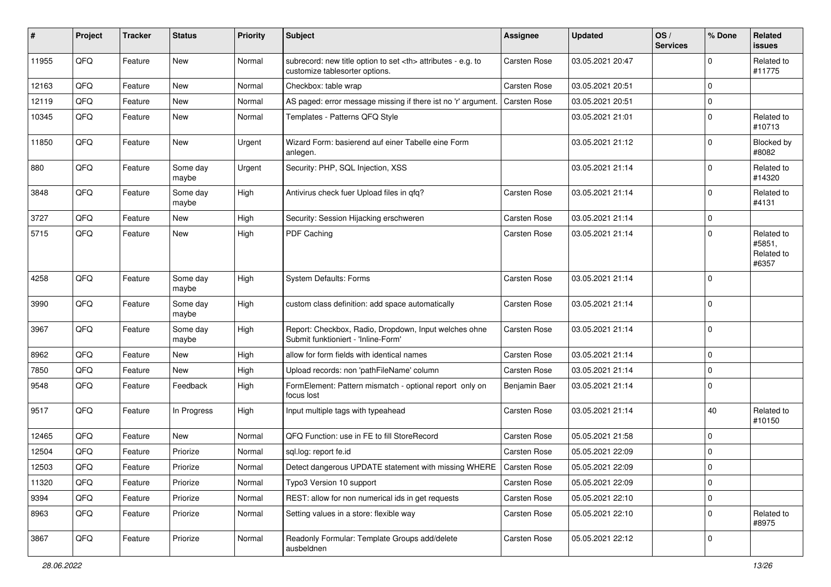| #     | Project | <b>Tracker</b> | <b>Status</b>     | <b>Priority</b> | Subject                                                                                              | <b>Assignee</b>                                        | <b>Updated</b>   | OS/<br><b>Services</b> | % Done      | Related<br><b>issues</b>                    |                      |
|-------|---------|----------------|-------------------|-----------------|------------------------------------------------------------------------------------------------------|--------------------------------------------------------|------------------|------------------------|-------------|---------------------------------------------|----------------------|
| 11955 | QFQ     | Feature        | New               | Normal          | subrecord: new title option to set <th> attributes - e.g. to<br/>customize tablesorter options.</th> | attributes - e.g. to<br>customize tablesorter options. | Carsten Rose     | 03.05.2021 20:47       |             | $\mathbf 0$                                 | Related to<br>#11775 |
| 12163 | QFQ     | Feature        | New               | Normal          | Checkbox: table wrap                                                                                 | <b>Carsten Rose</b>                                    | 03.05.2021 20:51 |                        | $\mathbf 0$ |                                             |                      |
| 12119 | QFQ     | Feature        | New               | Normal          | AS paged: error message missing if there ist no 'r' argument.                                        | <b>Carsten Rose</b>                                    | 03.05.2021 20:51 |                        | $\mathbf 0$ |                                             |                      |
| 10345 | QFQ     | Feature        | New               | Normal          | Templates - Patterns QFQ Style                                                                       |                                                        | 03.05.2021 21:01 |                        | $\mathbf 0$ | Related to<br>#10713                        |                      |
| 11850 | QFQ     | Feature        | New               | Urgent          | Wizard Form: basierend auf einer Tabelle eine Form<br>anlegen.                                       |                                                        | 03.05.2021 21:12 |                        | $\mathbf 0$ | Blocked by<br>#8082                         |                      |
| 880   | QFQ     | Feature        | Some day<br>maybe | Urgent          | Security: PHP, SQL Injection, XSS                                                                    |                                                        | 03.05.2021 21:14 |                        | $\mathbf 0$ | Related to<br>#14320                        |                      |
| 3848  | QFQ     | Feature        | Some day<br>maybe | High            | Antivirus check fuer Upload files in qfq?                                                            | Carsten Rose                                           | 03.05.2021 21:14 |                        | $\mathbf 0$ | Related to<br>#4131                         |                      |
| 3727  | QFQ     | Feature        | New               | High            | Security: Session Hijacking erschweren                                                               | Carsten Rose                                           | 03.05.2021 21:14 |                        | $\mathbf 0$ |                                             |                      |
| 5715  | QFQ     | Feature        | New               | High            | PDF Caching                                                                                          | Carsten Rose                                           | 03.05.2021 21:14 |                        | $\mathbf 0$ | Related to<br>#5851,<br>Related to<br>#6357 |                      |
| 4258  | QFQ     | Feature        | Some day<br>maybe | High            | <b>System Defaults: Forms</b>                                                                        | <b>Carsten Rose</b>                                    | 03.05.2021 21:14 |                        | $\mathbf 0$ |                                             |                      |
| 3990  | QFQ     | Feature        | Some day<br>maybe | High            | custom class definition: add space automatically                                                     | Carsten Rose                                           | 03.05.2021 21:14 |                        | $\mathbf 0$ |                                             |                      |
| 3967  | QFQ     | Feature        | Some day<br>maybe | High            | Report: Checkbox, Radio, Dropdown, Input welches ohne<br>Submit funktioniert - 'Inline-Form'         | Carsten Rose                                           | 03.05.2021 21:14 |                        | $\mathbf 0$ |                                             |                      |
| 8962  | QFQ     | Feature        | New               | High            | allow for form fields with identical names                                                           | Carsten Rose                                           | 03.05.2021 21:14 |                        | $\mathbf 0$ |                                             |                      |
| 7850  | QFQ     | Feature        | New               | High            | Upload records: non 'pathFileName' column                                                            | Carsten Rose                                           | 03.05.2021 21:14 |                        | $\mathbf 0$ |                                             |                      |
| 9548  | QFQ     | Feature        | Feedback          | High            | FormElement: Pattern mismatch - optional report only on<br>focus lost                                | Benjamin Baer                                          | 03.05.2021 21:14 |                        | $\Omega$    |                                             |                      |
| 9517  | QFQ     | Feature        | In Progress       | High            | Input multiple tags with typeahead                                                                   | Carsten Rose                                           | 03.05.2021 21:14 |                        | 40          | Related to<br>#10150                        |                      |
| 12465 | QFQ     | Feature        | New               | Normal          | QFQ Function: use in FE to fill StoreRecord                                                          | Carsten Rose                                           | 05.05.2021 21:58 |                        | $\mathbf 0$ |                                             |                      |
| 12504 | QFQ     | Feature        | Priorize          | Normal          | sql.log: report fe.id                                                                                | <b>Carsten Rose</b>                                    | 05.05.2021 22:09 |                        | $\mathbf 0$ |                                             |                      |
| 12503 | QFQ     | Feature        | Priorize          | Normal          | Detect dangerous UPDATE statement with missing WHERE                                                 | <b>Carsten Rose</b>                                    | 05.05.2021 22:09 |                        | $\Omega$    |                                             |                      |
| 11320 | QFQ     | Feature        | Priorize          | Normal          | Typo3 Version 10 support                                                                             | Carsten Rose                                           | 05.05.2021 22:09 |                        | $\mathbf 0$ |                                             |                      |
| 9394  | QFQ     | Feature        | Priorize          | Normal          | REST: allow for non numerical ids in get requests                                                    | Carsten Rose                                           | 05.05.2021 22:10 |                        | $\mathbf 0$ |                                             |                      |
| 8963  | QFQ     | Feature        | Priorize          | Normal          | Setting values in a store: flexible way                                                              | Carsten Rose                                           | 05.05.2021 22:10 |                        | $\mathbf 0$ | Related to<br>#8975                         |                      |
| 3867  | QFQ     | Feature        | Priorize          | Normal          | Readonly Formular: Template Groups add/delete<br>ausbeldnen                                          | Carsten Rose                                           | 05.05.2021 22:12 |                        | $\mathbf 0$ |                                             |                      |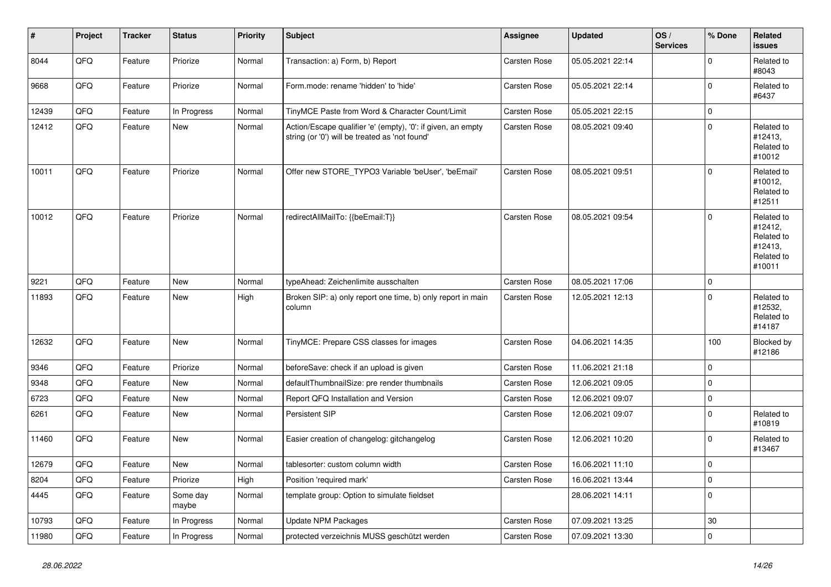| $\vert$ # | Project | <b>Tracker</b> | <b>Status</b>     | <b>Priority</b> | <b>Subject</b>                                                                                                 | Assignee     | <b>Updated</b>   | OS/<br><b>Services</b> | % Done      | Related<br><b>issues</b>                                               |
|-----------|---------|----------------|-------------------|-----------------|----------------------------------------------------------------------------------------------------------------|--------------|------------------|------------------------|-------------|------------------------------------------------------------------------|
| 8044      | QFQ     | Feature        | Priorize          | Normal          | Transaction: a) Form, b) Report                                                                                | Carsten Rose | 05.05.2021 22:14 |                        | $\Omega$    | Related to<br>#8043                                                    |
| 9668      | QFQ     | Feature        | Priorize          | Normal          | Form.mode: rename 'hidden' to 'hide'                                                                           | Carsten Rose | 05.05.2021 22:14 |                        | $\pmb{0}$   | Related to<br>#6437                                                    |
| 12439     | QFQ     | Feature        | In Progress       | Normal          | TinyMCE Paste from Word & Character Count/Limit                                                                | Carsten Rose | 05.05.2021 22:15 |                        | $\mathbf 0$ |                                                                        |
| 12412     | QFQ     | Feature        | New               | Normal          | Action/Escape qualifier 'e' (empty), '0': if given, an empty<br>string (or '0') will be treated as 'not found' | Carsten Rose | 08.05.2021 09:40 |                        | $\mathbf 0$ | Related to<br>#12413,<br>Related to<br>#10012                          |
| 10011     | QFQ     | Feature        | Priorize          | Normal          | Offer new STORE TYPO3 Variable 'beUser', 'beEmail'                                                             | Carsten Rose | 08.05.2021 09:51 |                        | $\Omega$    | Related to<br>#10012,<br>Related to<br>#12511                          |
| 10012     | QFQ     | Feature        | Priorize          | Normal          | redirectAllMailTo: {{beEmail:T}}                                                                               | Carsten Rose | 08.05.2021 09:54 |                        | $\mathbf 0$ | Related to<br>#12412,<br>Related to<br>#12413,<br>Related to<br>#10011 |
| 9221      | QFQ     | Feature        | <b>New</b>        | Normal          | typeAhead: Zeichenlimite ausschalten                                                                           | Carsten Rose | 08.05.2021 17:06 |                        | $\pmb{0}$   |                                                                        |
| 11893     | QFQ     | Feature        | New               | High            | Broken SIP: a) only report one time, b) only report in main<br>column                                          | Carsten Rose | 12.05.2021 12:13 |                        | $\mathbf 0$ | Related to<br>#12532,<br>Related to<br>#14187                          |
| 12632     | QFQ     | Feature        | <b>New</b>        | Normal          | TinyMCE: Prepare CSS classes for images                                                                        | Carsten Rose | 04.06.2021 14:35 |                        | 100         | Blocked by<br>#12186                                                   |
| 9346      | QFQ     | Feature        | Priorize          | Normal          | beforeSave: check if an upload is given                                                                        | Carsten Rose | 11.06.2021 21:18 |                        | $\mathbf 0$ |                                                                        |
| 9348      | QFQ     | Feature        | New               | Normal          | defaultThumbnailSize: pre render thumbnails                                                                    | Carsten Rose | 12.06.2021 09:05 |                        | $\mathbf 0$ |                                                                        |
| 6723      | QFQ     | Feature        | New               | Normal          | Report QFQ Installation and Version                                                                            | Carsten Rose | 12.06.2021 09:07 |                        | $\pmb{0}$   |                                                                        |
| 6261      | QFQ     | Feature        | New               | Normal          | Persistent SIP                                                                                                 | Carsten Rose | 12.06.2021 09:07 |                        | $\mathbf 0$ | Related to<br>#10819                                                   |
| 11460     | QFQ     | Feature        | New               | Normal          | Easier creation of changelog: gitchangelog                                                                     | Carsten Rose | 12.06.2021 10:20 |                        | $\Omega$    | Related to<br>#13467                                                   |
| 12679     | QFQ     | Feature        | <b>New</b>        | Normal          | tablesorter: custom column width                                                                               | Carsten Rose | 16.06.2021 11:10 |                        | $\mathbf 0$ |                                                                        |
| 8204      | QFQ     | Feature        | Priorize          | High            | Position 'required mark'                                                                                       | Carsten Rose | 16.06.2021 13:44 |                        | $\mathbf 0$ |                                                                        |
| 4445      | QFQ     | Feature        | Some day<br>maybe | Normal          | template group: Option to simulate fieldset                                                                    |              | 28.06.2021 14:11 |                        | $\mathbf 0$ |                                                                        |
| 10793     | QFQ     | Feature        | In Progress       | Normal          | <b>Update NPM Packages</b>                                                                                     | Carsten Rose | 07.09.2021 13:25 |                        | 30          |                                                                        |
| 11980     | QFQ     | Feature        | In Progress       | Normal          | protected verzeichnis MUSS geschützt werden                                                                    | Carsten Rose | 07.09.2021 13:30 |                        | $\pmb{0}$   |                                                                        |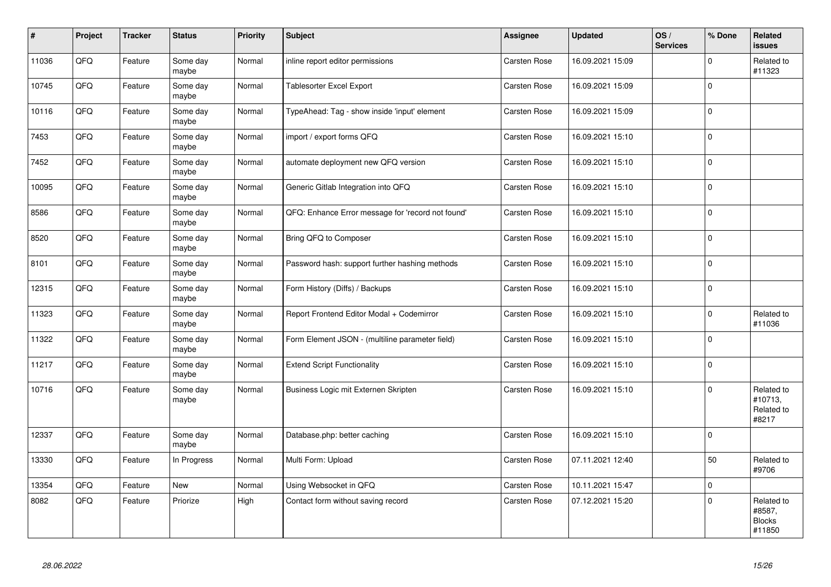| $\vert$ # | Project | <b>Tracker</b> | <b>Status</b>     | Priority | <b>Subject</b>                                    | Assignee     | <b>Updated</b>   | OS/<br><b>Services</b> | % Done      | Related<br><b>issues</b>                        |
|-----------|---------|----------------|-------------------|----------|---------------------------------------------------|--------------|------------------|------------------------|-------------|-------------------------------------------------|
| 11036     | QFQ     | Feature        | Some day<br>maybe | Normal   | inline report editor permissions                  | Carsten Rose | 16.09.2021 15:09 |                        | $\Omega$    | Related to<br>#11323                            |
| 10745     | QFQ     | Feature        | Some day<br>maybe | Normal   | <b>Tablesorter Excel Export</b>                   | Carsten Rose | 16.09.2021 15:09 |                        | $\Omega$    |                                                 |
| 10116     | QFQ     | Feature        | Some day<br>maybe | Normal   | TypeAhead: Tag - show inside 'input' element      | Carsten Rose | 16.09.2021 15:09 |                        | $\mathbf 0$ |                                                 |
| 7453      | QFQ     | Feature        | Some day<br>maybe | Normal   | import / export forms QFQ                         | Carsten Rose | 16.09.2021 15:10 |                        | $\mathbf 0$ |                                                 |
| 7452      | QFQ     | Feature        | Some day<br>maybe | Normal   | automate deployment new QFQ version               | Carsten Rose | 16.09.2021 15:10 |                        | $\mathbf 0$ |                                                 |
| 10095     | QFQ     | Feature        | Some day<br>maybe | Normal   | Generic Gitlab Integration into QFQ               | Carsten Rose | 16.09.2021 15:10 |                        | $\mathbf 0$ |                                                 |
| 8586      | QFQ     | Feature        | Some day<br>maybe | Normal   | QFQ: Enhance Error message for 'record not found' | Carsten Rose | 16.09.2021 15:10 |                        | $\Omega$    |                                                 |
| 8520      | QFQ     | Feature        | Some day<br>maybe | Normal   | Bring QFQ to Composer                             | Carsten Rose | 16.09.2021 15:10 |                        | $\Omega$    |                                                 |
| 8101      | QFQ     | Feature        | Some day<br>maybe | Normal   | Password hash: support further hashing methods    | Carsten Rose | 16.09.2021 15:10 |                        | $\mathbf 0$ |                                                 |
| 12315     | QFQ     | Feature        | Some day<br>maybe | Normal   | Form History (Diffs) / Backups                    | Carsten Rose | 16.09.2021 15:10 |                        | $\mathbf 0$ |                                                 |
| 11323     | QFQ     | Feature        | Some day<br>maybe | Normal   | Report Frontend Editor Modal + Codemirror         | Carsten Rose | 16.09.2021 15:10 |                        | $\mathbf 0$ | Related to<br>#11036                            |
| 11322     | QFQ     | Feature        | Some day<br>maybe | Normal   | Form Element JSON - (multiline parameter field)   | Carsten Rose | 16.09.2021 15:10 |                        | $\mathbf 0$ |                                                 |
| 11217     | QFQ     | Feature        | Some day<br>maybe | Normal   | <b>Extend Script Functionality</b>                | Carsten Rose | 16.09.2021 15:10 |                        | $\mathbf 0$ |                                                 |
| 10716     | QFQ     | Feature        | Some day<br>maybe | Normal   | Business Logic mit Externen Skripten              | Carsten Rose | 16.09.2021 15:10 |                        | $\Omega$    | Related to<br>#10713,<br>Related to<br>#8217    |
| 12337     | QFQ     | Feature        | Some day<br>maybe | Normal   | Database.php: better caching                      | Carsten Rose | 16.09.2021 15:10 |                        | $\mathbf 0$ |                                                 |
| 13330     | QFQ     | Feature        | In Progress       | Normal   | Multi Form: Upload                                | Carsten Rose | 07.11.2021 12:40 |                        | 50          | Related to<br>#9706                             |
| 13354     | QFQ     | Feature        | <b>New</b>        | Normal   | Using Websocket in QFQ                            | Carsten Rose | 10.11.2021 15:47 |                        | $\mathbf 0$ |                                                 |
| 8082      | QFQ     | Feature        | Priorize          | High     | Contact form without saving record                | Carsten Rose | 07.12.2021 15:20 |                        | $\mathbf 0$ | Related to<br>#8587,<br><b>Blocks</b><br>#11850 |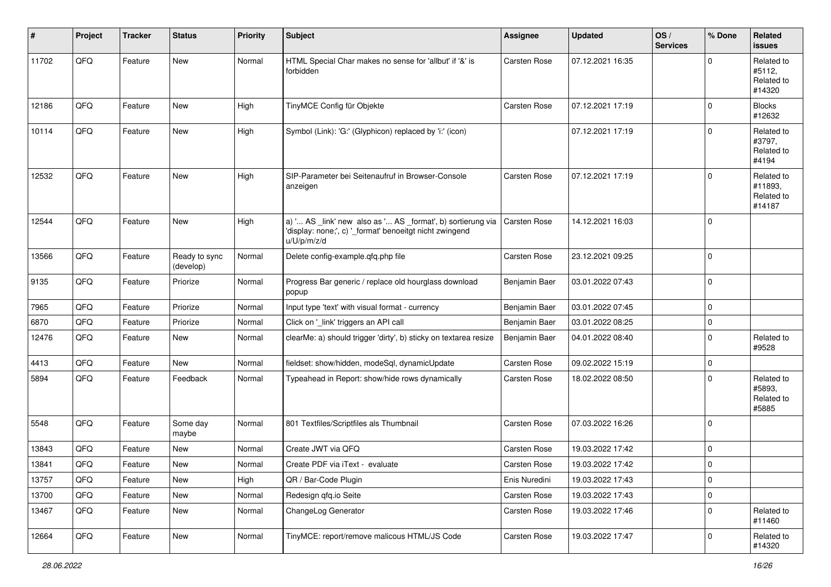| #     | Project | <b>Tracker</b> | <b>Status</b>              | <b>Priority</b> | <b>Subject</b>                                                                                                                        | <b>Assignee</b>     | <b>Updated</b>   | OS/<br><b>Services</b> | % Done      | Related<br><b>issues</b>                      |
|-------|---------|----------------|----------------------------|-----------------|---------------------------------------------------------------------------------------------------------------------------------------|---------------------|------------------|------------------------|-------------|-----------------------------------------------|
| 11702 | QFQ     | Feature        | New                        | Normal          | HTML Special Char makes no sense for 'allbut' if '&' is<br>forbidden                                                                  | Carsten Rose        | 07.12.2021 16:35 |                        | $\Omega$    | Related to<br>#5112,<br>Related to<br>#14320  |
| 12186 | QFQ     | Feature        | <b>New</b>                 | High            | TinyMCE Config für Objekte                                                                                                            | Carsten Rose        | 07.12.2021 17:19 |                        | $\Omega$    | <b>Blocks</b><br>#12632                       |
| 10114 | QFQ     | Feature        | New                        | High            | Symbol (Link): 'G:' (Glyphicon) replaced by 'i:' (icon)                                                                               |                     | 07.12.2021 17:19 |                        | $\Omega$    | Related to<br>#3797,<br>Related to<br>#4194   |
| 12532 | QFQ     | Feature        | New                        | High            | SIP-Parameter bei Seitenaufruf in Browser-Console<br>anzeigen                                                                         | Carsten Rose        | 07.12.2021 17:19 |                        | $\Omega$    | Related to<br>#11893,<br>Related to<br>#14187 |
| 12544 | QFQ     | Feature        | <b>New</b>                 | High            | a) ' AS _link' new also as ' AS _format', b) sortierung via<br>'display: none;', c) '_format' benoeitgt nicht zwingend<br>u/U/p/m/z/d | Carsten Rose        | 14.12.2021 16:03 |                        | $\Omega$    |                                               |
| 13566 | QFQ     | Feature        | Ready to sync<br>(develop) | Normal          | Delete config-example.qfq.php file                                                                                                    | Carsten Rose        | 23.12.2021 09:25 |                        | $\Omega$    |                                               |
| 9135  | QFQ     | Feature        | Priorize                   | Normal          | Progress Bar generic / replace old hourglass download<br>popup                                                                        | Benjamin Baer       | 03.01.2022 07:43 |                        | $\Omega$    |                                               |
| 7965  | QFQ     | Feature        | Priorize                   | Normal          | Input type 'text' with visual format - currency                                                                                       | Benjamin Baer       | 03.01.2022 07:45 |                        | $\mathbf 0$ |                                               |
| 6870  | QFQ     | Feature        | Priorize                   | Normal          | Click on '_link' triggers an API call                                                                                                 | Benjamin Baer       | 03.01.2022 08:25 |                        | $\mathbf 0$ |                                               |
| 12476 | QFQ     | Feature        | New                        | Normal          | clearMe: a) should trigger 'dirty', b) sticky on textarea resize                                                                      | Benjamin Baer       | 04.01.2022 08:40 |                        | $\Omega$    | Related to<br>#9528                           |
| 4413  | QFQ     | Feature        | <b>New</b>                 | Normal          | fieldset: show/hidden, modeSql, dynamicUpdate                                                                                         | Carsten Rose        | 09.02.2022 15:19 |                        | $\mathbf 0$ |                                               |
| 5894  | QFQ     | Feature        | Feedback                   | Normal          | Typeahead in Report: show/hide rows dynamically                                                                                       | Carsten Rose        | 18.02.2022 08:50 |                        | $\Omega$    | Related to<br>#5893,<br>Related to<br>#5885   |
| 5548  | QFQ     | Feature        | Some day<br>maybe          | Normal          | 801 Textfiles/Scriptfiles als Thumbnail                                                                                               | Carsten Rose        | 07.03.2022 16:26 |                        | $\Omega$    |                                               |
| 13843 | QFQ     | Feature        | New                        | Normal          | Create JWT via QFQ                                                                                                                    | Carsten Rose        | 19.03.2022 17:42 |                        | $\mathbf 0$ |                                               |
| 13841 | QFQ     | Feature        | New                        | Normal          | Create PDF via iText - evaluate                                                                                                       | <b>Carsten Rose</b> | 19.03.2022 17:42 |                        | $\mathbf 0$ |                                               |
| 13757 | QFQ     | Feature        | New                        | High            | QR / Bar-Code Plugin                                                                                                                  | Enis Nuredini       | 19.03.2022 17:43 |                        | $\mathbf 0$ |                                               |
| 13700 | QFQ     | Feature        | New                        | Normal          | Redesign qfq.io Seite                                                                                                                 | Carsten Rose        | 19.03.2022 17:43 |                        | $\mathbf 0$ |                                               |
| 13467 | QFQ     | Feature        | New                        | Normal          | ChangeLog Generator                                                                                                                   | Carsten Rose        | 19.03.2022 17:46 |                        | $\mathbf 0$ | Related to<br>#11460                          |
| 12664 | QFQ     | Feature        | New                        | Normal          | TinyMCE: report/remove malicous HTML/JS Code                                                                                          | Carsten Rose        | 19.03.2022 17:47 |                        | 0           | Related to<br>#14320                          |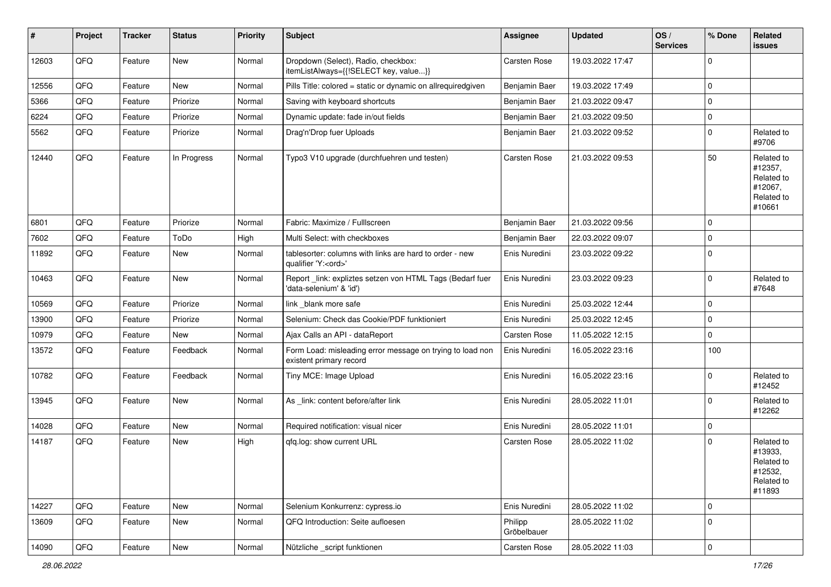| #     | Project | <b>Tracker</b> | <b>Status</b> | <b>Priority</b> | Subject                                                                               | <b>Assignee</b>        | <b>Updated</b>   | OS/<br><b>Services</b> | % Done      | Related<br><b>issues</b>                                               |
|-------|---------|----------------|---------------|-----------------|---------------------------------------------------------------------------------------|------------------------|------------------|------------------------|-------------|------------------------------------------------------------------------|
| 12603 | QFQ     | Feature        | New           | Normal          | Dropdown (Select), Radio, checkbox:<br>itemListAlways={{!SELECT key, value}}          | Carsten Rose           | 19.03.2022 17:47 |                        | $\Omega$    |                                                                        |
| 12556 | QFQ     | Feature        | New           | Normal          | Pills Title: colored = static or dynamic on allrequiredgiven                          | Benjamin Baer          | 19.03.2022 17:49 |                        | $\mathbf 0$ |                                                                        |
| 5366  | QFQ     | Feature        | Priorize      | Normal          | Saving with keyboard shortcuts                                                        | Benjamin Baer          | 21.03.2022 09:47 |                        | $\mathbf 0$ |                                                                        |
| 6224  | QFQ     | Feature        | Priorize      | Normal          | Dynamic update: fade in/out fields                                                    | Benjamin Baer          | 21.03.2022 09:50 |                        | $\pmb{0}$   |                                                                        |
| 5562  | QFQ     | Feature        | Priorize      | Normal          | Drag'n'Drop fuer Uploads                                                              | Benjamin Baer          | 21.03.2022 09:52 |                        | $\mathbf 0$ | Related to<br>#9706                                                    |
| 12440 | QFQ     | Feature        | In Progress   | Normal          | Typo3 V10 upgrade (durchfuehren und testen)                                           | Carsten Rose           | 21.03.2022 09:53 |                        | 50          | Related to<br>#12357,<br>Related to<br>#12067,<br>Related to<br>#10661 |
| 6801  | QFQ     | Feature        | Priorize      | Normal          | Fabric: Maximize / FullIscreen                                                        | Benjamin Baer          | 21.03.2022 09:56 |                        | $\Omega$    |                                                                        |
| 7602  | QFQ     | Feature        | ToDo          | High            | Multi Select: with checkboxes                                                         | Benjamin Baer          | 22.03.2022 09:07 |                        | $\mathbf 0$ |                                                                        |
| 11892 | QFQ     | Feature        | New           | Normal          | tablesorter: columns with links are hard to order - new<br>qualifier 'Y: <ord>'</ord> | Enis Nuredini          | 23.03.2022 09:22 |                        | $\mathbf 0$ |                                                                        |
| 10463 | QFQ     | Feature        | New           | Normal          | Report _link: expliztes setzen von HTML Tags (Bedarf fuer<br>'data-selenium' & 'id')  | Enis Nuredini          | 23.03.2022 09:23 |                        | $\Omega$    | Related to<br>#7648                                                    |
| 10569 | QFQ     | Feature        | Priorize      | Normal          | link blank more safe                                                                  | Enis Nuredini          | 25.03.2022 12:44 |                        | $\mathbf 0$ |                                                                        |
| 13900 | QFQ     | Feature        | Priorize      | Normal          | Selenium: Check das Cookie/PDF funktioniert                                           | Enis Nuredini          | 25.03.2022 12:45 |                        | $\mathbf 0$ |                                                                        |
| 10979 | QFQ     | Feature        | New           | Normal          | Ajax Calls an API - dataReport                                                        | Carsten Rose           | 11.05.2022 12:15 |                        | $\Omega$    |                                                                        |
| 13572 | QFQ     | Feature        | Feedback      | Normal          | Form Load: misleading error message on trying to load non<br>existent primary record  | Enis Nuredini          | 16.05.2022 23:16 |                        | 100         |                                                                        |
| 10782 | QFQ     | Feature        | Feedback      | Normal          | Tiny MCE: Image Upload                                                                | Enis Nuredini          | 16.05.2022 23:16 |                        | $\mathbf 0$ | Related to<br>#12452                                                   |
| 13945 | QFQ     | Feature        | New           | Normal          | As _link: content before/after link                                                   | Enis Nuredini          | 28.05.2022 11:01 |                        | $\mathbf 0$ | Related to<br>#12262                                                   |
| 14028 | QFQ     | Feature        | New           | Normal          | Required notification: visual nicer                                                   | Enis Nuredini          | 28.05.2022 11:01 |                        | $\mathbf 0$ |                                                                        |
| 14187 | QFQ     | Feature        | New           | High            | qfq.log: show current URL                                                             | Carsten Rose           | 28.05.2022 11:02 |                        | $\Omega$    | Related to<br>#13933,<br>Related to<br>#12532,<br>Related to<br>#11893 |
| 14227 | QFQ     | Feature        | New           | Normal          | Selenium Konkurrenz: cypress.io                                                       | Enis Nuredini          | 28.05.2022 11:02 |                        | $\mathbf 0$ |                                                                        |
| 13609 | QFQ     | Feature        | New           | Normal          | QFQ Introduction: Seite aufloesen                                                     | Philipp<br>Gröbelbauer | 28.05.2022 11:02 |                        | $\mathbf 0$ |                                                                        |
| 14090 | QFQ     | Feature        | New           | Normal          | Nützliche _script funktionen                                                          | Carsten Rose           | 28.05.2022 11:03 |                        | $\pmb{0}$   |                                                                        |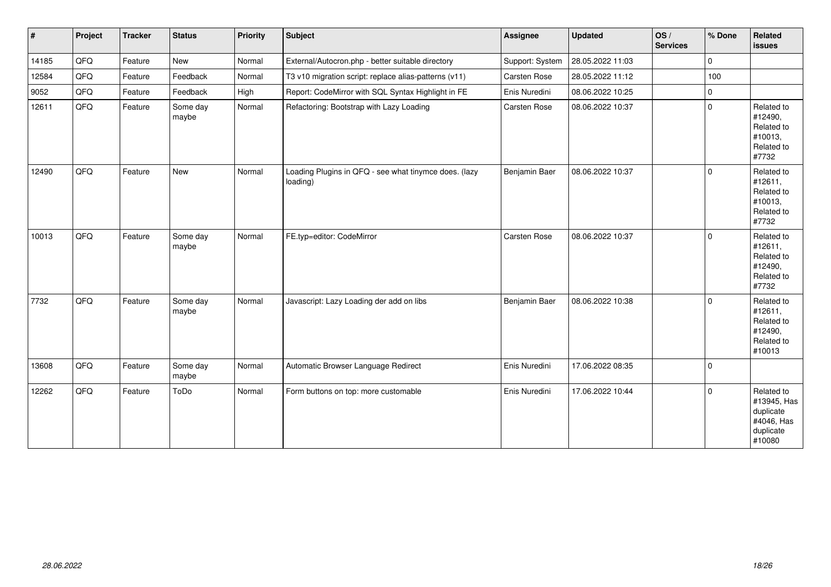| $\vert$ # | Project | <b>Tracker</b> | <b>Status</b>     | Priority | Subject                                                           | Assignee        | <b>Updated</b>   | OS/<br><b>Services</b> | % Done              | Related<br>issues                                                           |
|-----------|---------|----------------|-------------------|----------|-------------------------------------------------------------------|-----------------|------------------|------------------------|---------------------|-----------------------------------------------------------------------------|
| 14185     | QFG     | Feature        | <b>New</b>        | Normal   | External/Autocron.php - better suitable directory                 | Support: System | 28.05.2022 11:03 |                        | $\mathbf 0$         |                                                                             |
| 12584     | QFG     | Feature        | Feedback          | Normal   | T3 v10 migration script: replace alias-patterns (v11)             | Carsten Rose    | 28.05.2022 11:12 |                        | 100                 |                                                                             |
| 9052      | QFQ     | Feature        | Feedback          | High     | Report: CodeMirror with SQL Syntax Highlight in FE                | Enis Nuredini   | 08.06.2022 10:25 |                        | $\mathsf{O}\xspace$ |                                                                             |
| 12611     | QFQ     | Feature        | Some day<br>maybe | Normal   | Refactoring: Bootstrap with Lazy Loading                          | Carsten Rose    | 08.06.2022 10:37 |                        | $\mathbf 0$         | Related to<br>#12490,<br>Related to<br>#10013,<br>Related to<br>#7732       |
| 12490     | QFQ     | Feature        | <b>New</b>        | Normal   | Loading Plugins in QFQ - see what tinymce does. (lazy<br>loading) | Benjamin Baer   | 08.06.2022 10:37 |                        | $\Omega$            | Related to<br>#12611,<br>Related to<br>#10013,<br>Related to<br>#7732       |
| 10013     | QFQ     | Feature        | Some day<br>maybe | Normal   | FE.typ=editor: CodeMirror                                         | Carsten Rose    | 08.06.2022 10:37 |                        | $\mathbf 0$         | Related to<br>#12611,<br>Related to<br>#12490,<br>Related to<br>#7732       |
| 7732      | QFQ     | Feature        | Some day<br>maybe | Normal   | Javascript: Lazy Loading der add on libs                          | Benjamin Baer   | 08.06.2022 10:38 |                        | $\mathbf 0$         | Related to<br>#12611,<br>Related to<br>#12490,<br>Related to<br>#10013      |
| 13608     | QFQ     | Feature        | Some day<br>maybe | Normal   | Automatic Browser Language Redirect                               | Enis Nuredini   | 17.06.2022 08:35 |                        | $\mathbf 0$         |                                                                             |
| 12262     | QFQ     | Feature        | ToDo              | Normal   | Form buttons on top: more customable                              | Enis Nuredini   | 17.06.2022 10:44 |                        | $\mathbf 0$         | Related to<br>#13945, Has<br>duplicate<br>#4046, Has<br>duplicate<br>#10080 |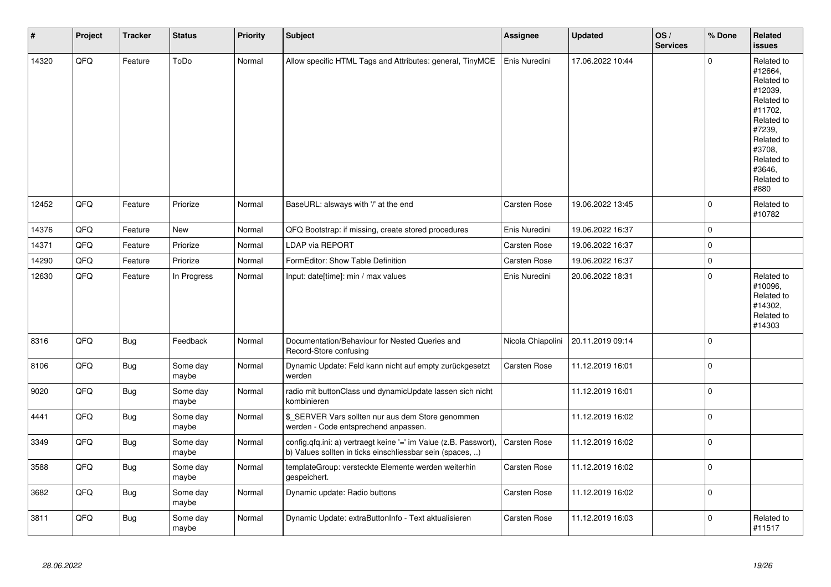| $\sharp$ | Project | <b>Tracker</b> | <b>Status</b>     | <b>Priority</b> | <b>Subject</b>                                                                                                                | Assignee            | <b>Updated</b>   | OS/<br><b>Services</b> | % Done              | Related<br><b>issues</b>                                                                                                                                              |
|----------|---------|----------------|-------------------|-----------------|-------------------------------------------------------------------------------------------------------------------------------|---------------------|------------------|------------------------|---------------------|-----------------------------------------------------------------------------------------------------------------------------------------------------------------------|
| 14320    | QFQ     | Feature        | ToDo              | Normal          | Allow specific HTML Tags and Attributes: general, TinyMCE                                                                     | Enis Nuredini       | 17.06.2022 10:44 |                        | $\Omega$            | Related to<br>#12664,<br>Related to<br>#12039,<br>Related to<br>#11702,<br>Related to<br>#7239,<br>Related to<br>#3708,<br>Related to<br>#3646.<br>Related to<br>#880 |
| 12452    | QFQ     | Feature        | Priorize          | Normal          | BaseURL: alsways with '/' at the end                                                                                          | Carsten Rose        | 19.06.2022 13:45 |                        | $\mathbf 0$         | Related to<br>#10782                                                                                                                                                  |
| 14376    | QFQ     | Feature        | <b>New</b>        | Normal          | QFQ Bootstrap: if missing, create stored procedures                                                                           | Enis Nuredini       | 19.06.2022 16:37 |                        | $\mathbf 0$         |                                                                                                                                                                       |
| 14371    | QFQ     | Feature        | Priorize          | Normal          | <b>LDAP via REPORT</b>                                                                                                        | Carsten Rose        | 19.06.2022 16:37 |                        | $\pmb{0}$           |                                                                                                                                                                       |
| 14290    | QFQ     | Feature        | Priorize          | Normal          | FormEditor: Show Table Definition                                                                                             | Carsten Rose        | 19.06.2022 16:37 |                        | $\mathsf{O}\xspace$ |                                                                                                                                                                       |
| 12630    | QFQ     | Feature        | In Progress       | Normal          | Input: date[time]: min / max values                                                                                           | Enis Nuredini       | 20.06.2022 18:31 |                        | $\Omega$            | Related to<br>#10096,<br>Related to<br>#14302,<br>Related to<br>#14303                                                                                                |
| 8316     | QFQ     | Bug            | Feedback          | Normal          | Documentation/Behaviour for Nested Queries and<br>Record-Store confusing                                                      | Nicola Chiapolini   | 20.11.2019 09:14 |                        | $\mathbf 0$         |                                                                                                                                                                       |
| 8106     | QFQ     | <b>Bug</b>     | Some day<br>maybe | Normal          | Dynamic Update: Feld kann nicht auf empty zurückgesetzt<br>werden                                                             | <b>Carsten Rose</b> | 11.12.2019 16:01 |                        | $\mathbf 0$         |                                                                                                                                                                       |
| 9020     | QFQ     | <b>Bug</b>     | Some day<br>maybe | Normal          | radio mit buttonClass und dynamicUpdate lassen sich nicht<br>kombinieren                                                      |                     | 11.12.2019 16:01 |                        | $\mathsf{O}\xspace$ |                                                                                                                                                                       |
| 4441     | QFQ     | Bug            | Some day<br>maybe | Normal          | \$ SERVER Vars sollten nur aus dem Store genommen<br>werden - Code entsprechend anpassen.                                     |                     | 11.12.2019 16:02 |                        | $\pmb{0}$           |                                                                                                                                                                       |
| 3349     | QFQ     | Bug            | Some day<br>maybe | Normal          | config.qfq.ini: a) vertraegt keine '=' im Value (z.B. Passwort),<br>b) Values sollten in ticks einschliessbar sein (spaces, ) | Carsten Rose        | 11.12.2019 16:02 |                        | $\pmb{0}$           |                                                                                                                                                                       |
| 3588     | QFQ     | Bug            | Some day<br>maybe | Normal          | templateGroup: versteckte Elemente werden weiterhin<br>gespeichert.                                                           | Carsten Rose        | 11.12.2019 16:02 |                        | $\pmb{0}$           |                                                                                                                                                                       |
| 3682     | QFQ     | <b>Bug</b>     | Some day<br>maybe | Normal          | Dynamic update: Radio buttons                                                                                                 | <b>Carsten Rose</b> | 11.12.2019 16:02 |                        | $\mathbf 0$         |                                                                                                                                                                       |
| 3811     | QFQ     | Bug            | Some day<br>maybe | Normal          | Dynamic Update: extraButtonInfo - Text aktualisieren                                                                          | <b>Carsten Rose</b> | 11.12.2019 16:03 |                        | $\Omega$            | Related to<br>#11517                                                                                                                                                  |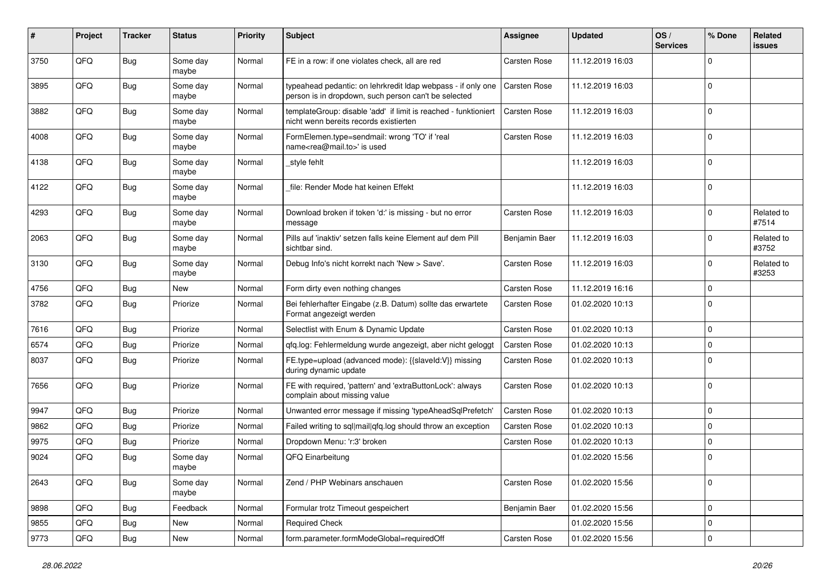| #    | Project | <b>Tracker</b> | <b>Status</b>     | <b>Priority</b> | Subject                                                                                                              | <b>Assignee</b>     | <b>Updated</b>   | OS/<br><b>Services</b> | % Done      | Related<br>issues   |
|------|---------|----------------|-------------------|-----------------|----------------------------------------------------------------------------------------------------------------------|---------------------|------------------|------------------------|-------------|---------------------|
| 3750 | QFQ     | <b>Bug</b>     | Some day<br>maybe | Normal          | FE in a row: if one violates check, all are red                                                                      | <b>Carsten Rose</b> | 11.12.2019 16:03 |                        | $\Omega$    |                     |
| 3895 | QFQ     | Bug            | Some day<br>maybe | Normal          | typeahead pedantic: on lehrkredit Idap webpass - if only one<br>person is in dropdown, such person can't be selected | <b>Carsten Rose</b> | 11.12.2019 16:03 |                        | $\Omega$    |                     |
| 3882 | QFQ     | <b>Bug</b>     | Some day<br>maybe | Normal          | templateGroup: disable 'add' if limit is reached - funktioniert<br>nicht wenn bereits records existierten            | Carsten Rose        | 11.12.2019 16:03 |                        | $\Omega$    |                     |
| 4008 | QFQ     | <b>Bug</b>     | Some day<br>maybe | Normal          | FormElemen.type=sendmail: wrong 'TO' if 'real<br>name <rea@mail.to>' is used</rea@mail.to>                           | <b>Carsten Rose</b> | 11.12.2019 16:03 |                        | $\mathbf 0$ |                     |
| 4138 | QFQ     | Bug            | Some day<br>maybe | Normal          | _style fehlt                                                                                                         |                     | 11.12.2019 16:03 |                        | $\Omega$    |                     |
| 4122 | QFQ     | Bug            | Some day<br>maybe | Normal          | file: Render Mode hat keinen Effekt                                                                                  |                     | 11.12.2019 16:03 |                        | $\Omega$    |                     |
| 4293 | QFQ     | <b>Bug</b>     | Some day<br>maybe | Normal          | Download broken if token 'd:' is missing - but no error<br>message                                                   | Carsten Rose        | 11.12.2019 16:03 |                        | $\Omega$    | Related to<br>#7514 |
| 2063 | QFQ     | Bug            | Some day<br>maybe | Normal          | Pills auf 'inaktiv' setzen falls keine Element auf dem Pill<br>sichtbar sind.                                        | Benjamin Baer       | 11.12.2019 16:03 |                        | $\mathbf 0$ | Related to<br>#3752 |
| 3130 | QFQ     | Bug            | Some day<br>maybe | Normal          | Debug Info's nicht korrekt nach 'New > Save'.                                                                        | Carsten Rose        | 11.12.2019 16:03 |                        | $\mathbf 0$ | Related to<br>#3253 |
| 4756 | QFQ     | <b>Bug</b>     | New               | Normal          | Form dirty even nothing changes                                                                                      | <b>Carsten Rose</b> | 11.12.2019 16:16 |                        | 0           |                     |
| 3782 | QFQ     | Bug            | Priorize          | Normal          | Bei fehlerhafter Eingabe (z.B. Datum) sollte das erwartete<br>Format angezeigt werden                                | Carsten Rose        | 01.02.2020 10:13 |                        | $\Omega$    |                     |
| 7616 | QFQ     | Bug            | Priorize          | Normal          | Selectlist with Enum & Dynamic Update                                                                                | Carsten Rose        | 01.02.2020 10:13 |                        | $\Omega$    |                     |
| 6574 | QFQ     | Bug            | Priorize          | Normal          | qfq.log: Fehlermeldung wurde angezeigt, aber nicht geloggt                                                           | <b>Carsten Rose</b> | 01.02.2020 10:13 |                        | $\Omega$    |                     |
| 8037 | QFQ     | Bug            | Priorize          | Normal          | FE.type=upload (advanced mode): {{slaveld:V}} missing<br>during dynamic update                                       | Carsten Rose        | 01.02.2020 10:13 |                        | $\Omega$    |                     |
| 7656 | QFQ     | Bug            | Priorize          | Normal          | FE with required, 'pattern' and 'extraButtonLock': always<br>complain about missing value                            | Carsten Rose        | 01.02.2020 10:13 |                        | $\Omega$    |                     |
| 9947 | QFQ     | Bug            | Priorize          | Normal          | Unwanted error message if missing 'typeAheadSqlPrefetch'                                                             | Carsten Rose        | 01.02.2020 10:13 |                        | l 0         |                     |
| 9862 | QFQ     | Bug            | Priorize          | Normal          | Failed writing to sql mail qfq.log should throw an exception                                                         | <b>Carsten Rose</b> | 01.02.2020 10:13 |                        | $\mathbf 0$ |                     |
| 9975 | QFQ     | Bug            | Priorize          | Normal          | Dropdown Menu: 'r:3' broken                                                                                          | Carsten Rose        | 01.02.2020 10:13 |                        | $\Omega$    |                     |
| 9024 | QFQ     | <b>Bug</b>     | Some day<br>maybe | Normal          | QFQ Einarbeitung                                                                                                     |                     | 01.02.2020 15:56 |                        | $\Omega$    |                     |
| 2643 | QFQ     | <b>Bug</b>     | Some day<br>maybe | Normal          | Zend / PHP Webinars anschauen                                                                                        | Carsten Rose        | 01.02.2020 15:56 |                        | l 0         |                     |
| 9898 | QFQ     | <b>Bug</b>     | Feedback          | Normal          | Formular trotz Timeout gespeichert                                                                                   | Benjamin Baer       | 01.02.2020 15:56 |                        | $\mathbf 0$ |                     |
| 9855 | QFQ     | Bug            | New               | Normal          | <b>Required Check</b>                                                                                                |                     | 01.02.2020 15:56 |                        | $\mathbf 0$ |                     |
| 9773 | QFG     | <b>Bug</b>     | New               | Normal          | form.parameter.formModeGlobal=requiredOff                                                                            | Carsten Rose        | 01.02.2020 15:56 |                        | $\mathbf 0$ |                     |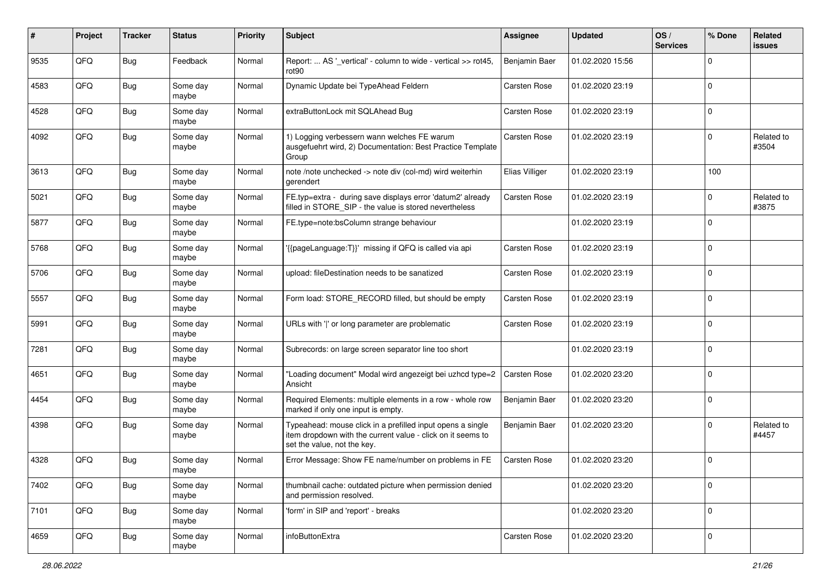| #    | Project | <b>Tracker</b> | <b>Status</b>     | <b>Priority</b> | <b>Subject</b>                                                                                                                                           | Assignee            | <b>Updated</b>   | OS/<br><b>Services</b> | % Done              | Related<br><b>issues</b> |
|------|---------|----------------|-------------------|-----------------|----------------------------------------------------------------------------------------------------------------------------------------------------------|---------------------|------------------|------------------------|---------------------|--------------------------|
| 9535 | QFQ     | Bug            | Feedback          | Normal          | Report:  AS '_vertical' - column to wide - vertical >> rot45,<br>rot <sub>90</sub>                                                                       | Benjamin Baer       | 01.02.2020 15:56 |                        | $\mathbf 0$         |                          |
| 4583 | QFQ     | Bug            | Some day<br>maybe | Normal          | Dynamic Update bei TypeAhead Feldern                                                                                                                     | Carsten Rose        | 01.02.2020 23:19 |                        | $\mathbf 0$         |                          |
| 4528 | QFQ     | Bug            | Some day<br>maybe | Normal          | extraButtonLock mit SQLAhead Bug                                                                                                                         | Carsten Rose        | 01.02.2020 23:19 |                        | $\mathbf 0$         |                          |
| 4092 | QFQ     | Bug            | Some day<br>maybe | Normal          | 1) Logging verbessern wann welches FE warum<br>ausgefuehrt wird, 2) Documentation: Best Practice Template<br>Group                                       | <b>Carsten Rose</b> | 01.02.2020 23:19 |                        | $\mathbf 0$         | Related to<br>#3504      |
| 3613 | QFQ     | <b>Bug</b>     | Some day<br>maybe | Normal          | note /note unchecked -> note div (col-md) wird weiterhin<br>gerendert                                                                                    | Elias Villiger      | 01.02.2020 23:19 |                        | 100                 |                          |
| 5021 | QFQ     | Bug            | Some day<br>maybe | Normal          | FE.typ=extra - during save displays error 'datum2' already<br>filled in STORE_SIP - the value is stored nevertheless                                     | Carsten Rose        | 01.02.2020 23:19 |                        | $\mathbf 0$         | Related to<br>#3875      |
| 5877 | QFQ     | <b>Bug</b>     | Some day<br>maybe | Normal          | FE.type=note:bsColumn strange behaviour                                                                                                                  |                     | 01.02.2020 23:19 |                        | $\mathbf 0$         |                          |
| 5768 | QFQ     | <b>Bug</b>     | Some day<br>maybe | Normal          | {{pageLanguage:T}}' missing if QFQ is called via api                                                                                                     | Carsten Rose        | 01.02.2020 23:19 |                        | $\mathbf 0$         |                          |
| 5706 | QFQ     | Bug            | Some day<br>maybe | Normal          | upload: fileDestination needs to be sanatized                                                                                                            | Carsten Rose        | 01.02.2020 23:19 |                        | $\mathbf 0$         |                          |
| 5557 | QFQ     | Bug            | Some day<br>maybe | Normal          | Form load: STORE_RECORD filled, but should be empty                                                                                                      | Carsten Rose        | 01.02.2020 23:19 |                        | $\mathbf 0$         |                          |
| 5991 | QFQ     | Bug            | Some day<br>maybe | Normal          | URLs with ' ' or long parameter are problematic                                                                                                          | Carsten Rose        | 01.02.2020 23:19 |                        | $\mathbf 0$         |                          |
| 7281 | QFQ     | Bug            | Some day<br>maybe | Normal          | Subrecords: on large screen separator line too short                                                                                                     |                     | 01.02.2020 23:19 |                        | $\mathbf 0$         |                          |
| 4651 | QFQ     | Bug            | Some day<br>maybe | Normal          | "Loading document" Modal wird angezeigt bei uzhcd type=2<br>Ansicht                                                                                      | <b>Carsten Rose</b> | 01.02.2020 23:20 |                        | $\mathbf 0$         |                          |
| 4454 | QFQ     | <b>Bug</b>     | Some day<br>maybe | Normal          | Required Elements: multiple elements in a row - whole row<br>marked if only one input is empty.                                                          | Benjamin Baer       | 01.02.2020 23:20 |                        | $\mathbf 0$         |                          |
| 4398 | QFQ     | Bug            | Some day<br>maybe | Normal          | Typeahead: mouse click in a prefilled input opens a single<br>item dropdown with the current value - click on it seems to<br>set the value, not the key. | Benjamin Baer       | 01.02.2020 23:20 |                        | $\mathbf 0$         | Related to<br>#4457      |
| 4328 | QFQ     | Bug            | Some day<br>maybe | Normal          | Error Message: Show FE name/number on problems in FE                                                                                                     | Carsten Rose        | 01.02.2020 23:20 |                        | $\mathbf 0$         |                          |
| 7402 | QFQ     | <b>Bug</b>     | Some day<br>maybe | Normal          | thumbnail cache: outdated picture when permission denied<br>and permission resolved.                                                                     |                     | 01.02.2020 23:20 |                        | $\mathbf 0$         |                          |
| 7101 | QFO     | <b>Bug</b>     | Some day<br>maybe | Normal          | 'form' in SIP and 'report' - breaks                                                                                                                      |                     | 01.02.2020 23:20 |                        | $\mathbf 0$         |                          |
| 4659 | QFO     | <b>Bug</b>     | Some day<br>maybe | Normal          | infoButtonExtra                                                                                                                                          | Carsten Rose        | 01.02.2020 23:20 |                        | $\mathsf{O}\xspace$ |                          |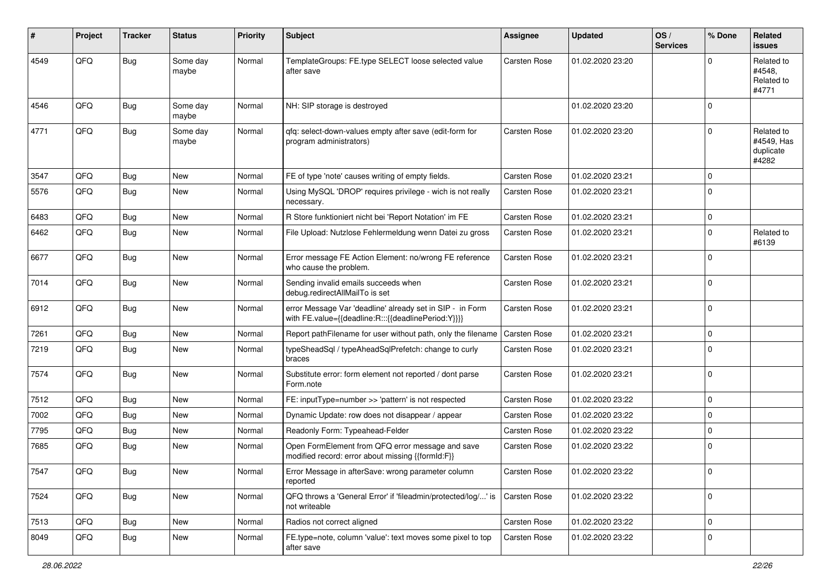| #    | Project        | <b>Tracker</b> | <b>Status</b>     | <b>Priority</b> | <b>Subject</b>                                                                                                   | Assignee            | <b>Updated</b>   | OS/<br><b>Services</b> | % Done      | Related<br><b>issues</b>                       |
|------|----------------|----------------|-------------------|-----------------|------------------------------------------------------------------------------------------------------------------|---------------------|------------------|------------------------|-------------|------------------------------------------------|
| 4549 | QFQ            | Bug            | Some day<br>maybe | Normal          | TemplateGroups: FE.type SELECT loose selected value<br>after save                                                | Carsten Rose        | 01.02.2020 23:20 |                        | $\Omega$    | Related to<br>#4548.<br>Related to<br>#4771    |
| 4546 | QFQ            | Bug            | Some day<br>maybe | Normal          | NH: SIP storage is destroyed                                                                                     |                     | 01.02.2020 23:20 |                        | $\mathbf 0$ |                                                |
| 4771 | QFQ            | Bug            | Some day<br>maybe | Normal          | qfq: select-down-values empty after save (edit-form for<br>program administrators)                               | Carsten Rose        | 01.02.2020 23:20 |                        | $\mathbf 0$ | Related to<br>#4549, Has<br>duplicate<br>#4282 |
| 3547 | QFQ            | Bug            | New               | Normal          | FE of type 'note' causes writing of empty fields.                                                                | Carsten Rose        | 01.02.2020 23:21 |                        | $\mathbf 0$ |                                                |
| 5576 | QFQ            | Bug            | New               | Normal          | Using MySQL 'DROP' requires privilege - wich is not really<br>necessary.                                         | <b>Carsten Rose</b> | 01.02.2020 23:21 |                        | $\mathbf 0$ |                                                |
| 6483 | QFQ            | Bug            | New               | Normal          | R Store funktioniert nicht bei 'Report Notation' im FE                                                           | Carsten Rose        | 01.02.2020 23:21 |                        | $\mathbf 0$ |                                                |
| 6462 | QFQ            | Bug            | New               | Normal          | File Upload: Nutzlose Fehlermeldung wenn Datei zu gross                                                          | Carsten Rose        | 01.02.2020 23:21 |                        | $\mathbf 0$ | Related to<br>#6139                            |
| 6677 | QFQ            | Bug            | New               | Normal          | Error message FE Action Element: no/wrong FE reference<br>who cause the problem.                                 | Carsten Rose        | 01.02.2020 23:21 |                        | $\mathbf 0$ |                                                |
| 7014 | QFQ            | Bug            | New               | Normal          | Sending invalid emails succeeds when<br>debug.redirectAllMailTo is set                                           | Carsten Rose        | 01.02.2020 23:21 |                        | $\mathbf 0$ |                                                |
| 6912 | QFQ            | Bug            | New               | Normal          | error Message Var 'deadline' already set in SIP - in Form<br>with FE.value={{deadline:R:::{{deadlinePeriod:Y}}}} | Carsten Rose        | 01.02.2020 23:21 |                        | $\mathbf 0$ |                                                |
| 7261 | QFQ            | Bug            | <b>New</b>        | Normal          | Report pathFilename for user without path, only the filename                                                     | Carsten Rose        | 01.02.2020 23:21 |                        | $\mathbf 0$ |                                                |
| 7219 | QFQ            | Bug            | New               | Normal          | typeSheadSql / typeAheadSqlPrefetch: change to curly<br>braces                                                   | Carsten Rose        | 01.02.2020 23:21 |                        | $\mathbf 0$ |                                                |
| 7574 | QFQ            | Bug            | New               | Normal          | Substitute error: form element not reported / dont parse<br>Form.note                                            | Carsten Rose        | 01.02.2020 23:21 |                        | $\mathbf 0$ |                                                |
| 7512 | QFQ            | Bug            | New               | Normal          | FE: inputType=number >> 'pattern' is not respected                                                               | Carsten Rose        | 01.02.2020 23:22 |                        | $\mathbf 0$ |                                                |
| 7002 | QFQ            | Bug            | <b>New</b>        | Normal          | Dynamic Update: row does not disappear / appear                                                                  | Carsten Rose        | 01.02.2020 23:22 |                        | $\mathbf 0$ |                                                |
| 7795 | QFQ            | <b>Bug</b>     | New               | Normal          | Readonly Form: Typeahead-Felder                                                                                  | Carsten Rose        | 01.02.2020 23:22 |                        | $\mathbf 0$ |                                                |
| 7685 | QFQ            | Bug            | New               | Normal          | Open FormElement from QFQ error message and save<br>modified record: error about missing {{formId:F}}            | <b>Carsten Rose</b> | 01.02.2020 23:22 |                        | $\mathbf 0$ |                                                |
| 7547 | $\mathsf{QFQ}$ | <b>Bug</b>     | New               | Normal          | Error Message in afterSave: wrong parameter column<br>reported                                                   | Carsten Rose        | 01.02.2020 23:22 |                        | $\mathbf 0$ |                                                |
| 7524 | QFQ            | <b>Bug</b>     | New               | Normal          | QFQ throws a 'General Error' if 'fileadmin/protected/log/' is<br>not writeable                                   | <b>Carsten Rose</b> | 01.02.2020 23:22 |                        | $\mathbf 0$ |                                                |
| 7513 | QFQ            | <b>Bug</b>     | New               | Normal          | Radios not correct aligned                                                                                       | Carsten Rose        | 01.02.2020 23:22 |                        | $\mathbf 0$ |                                                |
| 8049 | QFQ            | <b>Bug</b>     | New               | Normal          | FE.type=note, column 'value': text moves some pixel to top<br>after save                                         | Carsten Rose        | 01.02.2020 23:22 |                        | $\mathbf 0$ |                                                |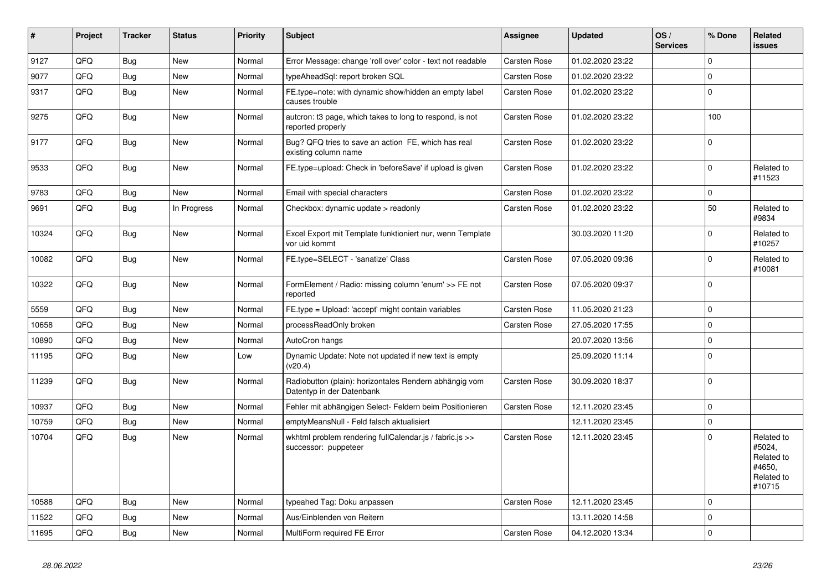| #     | Project | <b>Tracker</b> | <b>Status</b> | <b>Priority</b> | <b>Subject</b>                                                                      | <b>Assignee</b>     | <b>Updated</b>   | OS/<br><b>Services</b> | % Done      | Related<br><b>issues</b>                                             |
|-------|---------|----------------|---------------|-----------------|-------------------------------------------------------------------------------------|---------------------|------------------|------------------------|-------------|----------------------------------------------------------------------|
| 9127  | QFQ     | <b>Bug</b>     | <b>New</b>    | Normal          | Error Message: change 'roll over' color - text not readable                         | <b>Carsten Rose</b> | 01.02.2020 23:22 |                        | $\Omega$    |                                                                      |
| 9077  | QFQ     | <b>Bug</b>     | <b>New</b>    | Normal          | typeAheadSql: report broken SQL                                                     | <b>Carsten Rose</b> | 01.02.2020 23:22 |                        | $\Omega$    |                                                                      |
| 9317  | QFQ     | <b>Bug</b>     | New           | Normal          | FE.type=note: with dynamic show/hidden an empty label<br>causes trouble             | <b>Carsten Rose</b> | 01.02.2020 23:22 |                        | $\Omega$    |                                                                      |
| 9275  | QFQ     | Bug            | <b>New</b>    | Normal          | auteron: t3 page, which takes to long to respond, is not<br>reported properly       | <b>Carsten Rose</b> | 01.02.2020 23:22 |                        | 100         |                                                                      |
| 9177  | QFQ     | Bug            | <b>New</b>    | Normal          | Bug? QFQ tries to save an action FE, which has real<br>existing column name         | <b>Carsten Rose</b> | 01.02.2020 23:22 |                        | $\Omega$    |                                                                      |
| 9533  | QFQ     | Bug            | <b>New</b>    | Normal          | FE.type=upload: Check in 'beforeSave' if upload is given                            | <b>Carsten Rose</b> | 01.02.2020 23:22 |                        | $\mathbf 0$ | Related to<br>#11523                                                 |
| 9783  | QFQ     | <b>Bug</b>     | <b>New</b>    | Normal          | Email with special characters                                                       | <b>Carsten Rose</b> | 01.02.2020 23:22 |                        | $\Omega$    |                                                                      |
| 9691  | QFQ     | Bug            | In Progress   | Normal          | Checkbox: dynamic update > readonly                                                 | Carsten Rose        | 01.02.2020 23:22 |                        | 50          | Related to<br>#9834                                                  |
| 10324 | QFQ     | Bug            | <b>New</b>    | Normal          | Excel Export mit Template funktioniert nur, wenn Template<br>vor uid kommt          |                     | 30.03.2020 11:20 |                        | $\Omega$    | Related to<br>#10257                                                 |
| 10082 | QFQ     | <b>Bug</b>     | <b>New</b>    | Normal          | FE.type=SELECT - 'sanatize' Class                                                   | <b>Carsten Rose</b> | 07.05.2020 09:36 |                        | $\Omega$    | Related to<br>#10081                                                 |
| 10322 | QFQ     | Bug            | <b>New</b>    | Normal          | FormElement / Radio: missing column 'enum' >> FE not<br>reported                    | <b>Carsten Rose</b> | 07.05.2020 09:37 |                        | $\Omega$    |                                                                      |
| 5559  | QFQ     | Bug            | <b>New</b>    | Normal          | FE.type = Upload: 'accept' might contain variables                                  | <b>Carsten Rose</b> | 11.05.2020 21:23 |                        | $\Omega$    |                                                                      |
| 10658 | QFQ     | Bug            | <b>New</b>    | Normal          | processReadOnly broken                                                              | <b>Carsten Rose</b> | 27.05.2020 17:55 |                        | $\Omega$    |                                                                      |
| 10890 | QFQ     | Bug            | <b>New</b>    | Normal          | AutoCron hangs                                                                      |                     | 20.07.2020 13:56 |                        | $\Omega$    |                                                                      |
| 11195 | QFQ     | Bug            | New           | Low             | Dynamic Update: Note not updated if new text is empty<br>(v20.4)                    |                     | 25.09.2020 11:14 |                        | $\Omega$    |                                                                      |
| 11239 | QFQ     | <b>Bug</b>     | <b>New</b>    | Normal          | Radiobutton (plain): horizontales Rendern abhängig vom<br>Datentyp in der Datenbank | <b>Carsten Rose</b> | 30.09.2020 18:37 |                        | $\Omega$    |                                                                      |
| 10937 | QFQ     | Bug            | <b>New</b>    | Normal          | Fehler mit abhängigen Select- Feldern beim Positionieren                            | <b>Carsten Rose</b> | 12.11.2020 23:45 |                        | $\Omega$    |                                                                      |
| 10759 | QFQ     | Bug            | <b>New</b>    | Normal          | emptyMeansNull - Feld falsch aktualisiert                                           |                     | 12.11.2020 23:45 |                        | $\mathbf 0$ |                                                                      |
| 10704 | QFQ     | Bug            | New           | Normal          | wkhtml problem rendering fullCalendar.js / fabric.js >><br>successor: puppeteer     | <b>Carsten Rose</b> | 12.11.2020 23:45 |                        | $\mathbf 0$ | Related to<br>#5024,<br>Related to<br>#4650,<br>Related to<br>#10715 |
| 10588 | QFQ     | Bug            | <b>New</b>    | Normal          | typeahed Tag: Doku anpassen                                                         | <b>Carsten Rose</b> | 12.11.2020 23:45 |                        | $\Omega$    |                                                                      |
| 11522 | QFQ     | Bug            | <b>New</b>    | Normal          | Aus/Einblenden von Reitern                                                          |                     | 13.11.2020 14:58 |                        | $\Omega$    |                                                                      |
| 11695 | QFQ     | Bug            | <b>New</b>    | Normal          | MultiForm required FE Error                                                         | Carsten Rose        | 04.12.2020 13:34 |                        | $\Omega$    |                                                                      |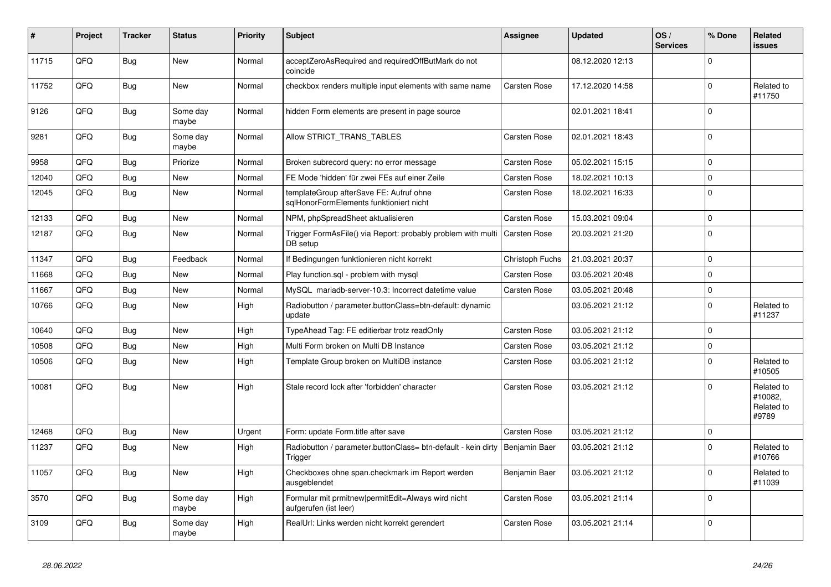| #     | Project | <b>Tracker</b> | <b>Status</b>     | <b>Priority</b> | <b>Subject</b>                                                                     | Assignee            | <b>Updated</b>   | OS/<br><b>Services</b> | % Done      | Related<br><b>issues</b>                     |
|-------|---------|----------------|-------------------|-----------------|------------------------------------------------------------------------------------|---------------------|------------------|------------------------|-------------|----------------------------------------------|
| 11715 | QFQ     | Bug            | <b>New</b>        | Normal          | acceptZeroAsRequired and requiredOffButMark do not<br>coincide                     |                     | 08.12.2020 12:13 |                        | $\Omega$    |                                              |
| 11752 | QFQ     | <b>Bug</b>     | <b>New</b>        | Normal          | checkbox renders multiple input elements with same name                            | <b>Carsten Rose</b> | 17.12.2020 14:58 |                        | $\Omega$    | Related to<br>#11750                         |
| 9126  | QFQ     | <b>Bug</b>     | Some day<br>maybe | Normal          | hidden Form elements are present in page source                                    |                     | 02.01.2021 18:41 |                        | $\Omega$    |                                              |
| 9281  | QFQ     | Bug            | Some day<br>maybe | Normal          | Allow STRICT TRANS TABLES                                                          | <b>Carsten Rose</b> | 02.01.2021 18:43 |                        | $\mathbf 0$ |                                              |
| 9958  | QFQ     | <b>Bug</b>     | Priorize          | Normal          | Broken subrecord query: no error message                                           | Carsten Rose        | 05.02.2021 15:15 |                        | $\Omega$    |                                              |
| 12040 | QFQ     | <b>Bug</b>     | <b>New</b>        | Normal          | FE Mode 'hidden' für zwei FEs auf einer Zeile                                      | <b>Carsten Rose</b> | 18.02.2021 10:13 |                        | $\mathbf 0$ |                                              |
| 12045 | QFQ     | Bug            | <b>New</b>        | Normal          | templateGroup afterSave FE: Aufruf ohne<br>sglHonorFormElements funktioniert nicht | Carsten Rose        | 18.02.2021 16:33 |                        | $\Omega$    |                                              |
| 12133 | QFQ     | Bug            | <b>New</b>        | Normal          | NPM, phpSpreadSheet aktualisieren                                                  | <b>Carsten Rose</b> | 15.03.2021 09:04 |                        | $\Omega$    |                                              |
| 12187 | QFQ     | Bug            | New               | Normal          | Trigger FormAsFile() via Report: probably problem with multi<br>DB setup           | <b>Carsten Rose</b> | 20.03.2021 21:20 |                        | $\Omega$    |                                              |
| 11347 | QFQ     | <b>Bug</b>     | Feedback          | Normal          | If Bedingungen funktionieren nicht korrekt                                         | Christoph Fuchs     | 21.03.2021 20:37 |                        | $\Omega$    |                                              |
| 11668 | QFQ     | <b>Bug</b>     | <b>New</b>        | Normal          | Play function.sql - problem with mysql                                             | <b>Carsten Rose</b> | 03.05.2021 20:48 |                        | $\Omega$    |                                              |
| 11667 | QFQ     | <b>Bug</b>     | <b>New</b>        | Normal          | MySQL mariadb-server-10.3: Incorrect datetime value                                | <b>Carsten Rose</b> | 03.05.2021 20:48 |                        | $\mathbf 0$ |                                              |
| 10766 | QFQ     | Bug            | <b>New</b>        | High            | Radiobutton / parameter.buttonClass=btn-default: dynamic<br>update                 |                     | 03.05.2021 21:12 |                        | $\Omega$    | Related to<br>#11237                         |
| 10640 | QFQ     | <b>Bug</b>     | <b>New</b>        | High            | TypeAhead Tag: FE editierbar trotz readOnly                                        | Carsten Rose        | 03.05.2021 21:12 |                        | $\Omega$    |                                              |
| 10508 | QFQ     | Bug            | <b>New</b>        | High            | Multi Form broken on Multi DB Instance                                             | <b>Carsten Rose</b> | 03.05.2021 21:12 |                        | $\mathbf 0$ |                                              |
| 10506 | QFQ     | <b>Bug</b>     | New               | High            | Template Group broken on MultiDB instance                                          | Carsten Rose        | 03.05.2021 21:12 |                        | $\mathbf 0$ | Related to<br>#10505                         |
| 10081 | QFQ     | <b>Bug</b>     | <b>New</b>        | High            | Stale record lock after 'forbidden' character                                      | <b>Carsten Rose</b> | 03.05.2021 21:12 |                        | $\Omega$    | Related to<br>#10082,<br>Related to<br>#9789 |
| 12468 | QFQ     | Bug            | <b>New</b>        | Urgent          | Form: update Form.title after save                                                 | Carsten Rose        | 03.05.2021 21:12 |                        | $\pmb{0}$   |                                              |
| 11237 | QFQ     | <b>Bug</b>     | New               | High            | Radiobutton / parameter.buttonClass= btn-default - kein dirty<br>Trigger           | Benjamin Baer       | 03.05.2021 21:12 |                        | $\Omega$    | Related to<br>#10766                         |
| 11057 | QFQ     | <b>Bug</b>     | <b>New</b>        | High            | Checkboxes ohne span.checkmark im Report werden<br>ausgeblendet                    | Benjamin Baer       | 03.05.2021 21:12 |                        | $\Omega$    | Related to<br>#11039                         |
| 3570  | QFQ     | <b>Bug</b>     | Some day<br>maybe | High            | Formular mit prmitnew permitEdit=Always wird nicht<br>aufgerufen (ist leer)        | Carsten Rose        | 03.05.2021 21:14 |                        | $\Omega$    |                                              |
| 3109  | QFQ     | Bug            | Some day<br>maybe | High            | RealUrl: Links werden nicht korrekt gerendert                                      | Carsten Rose        | 03.05.2021 21:14 |                        | $\Omega$    |                                              |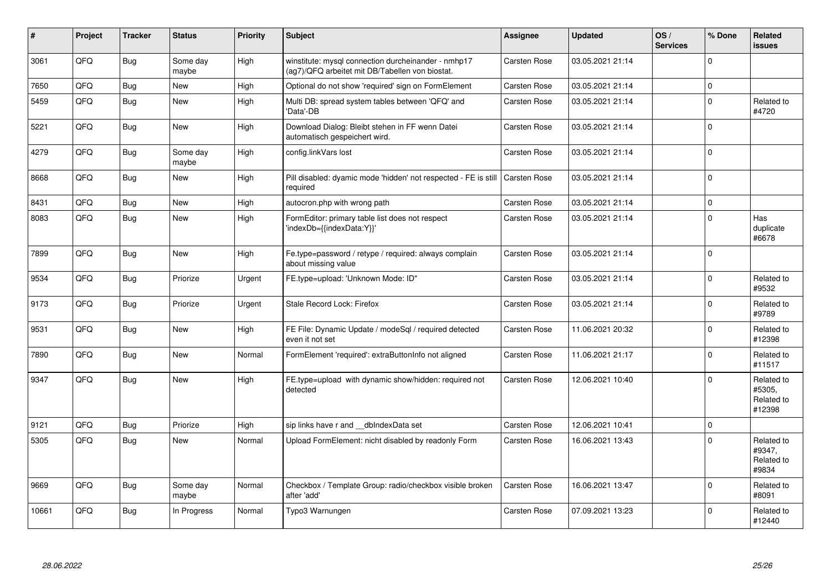| #     | Project | <b>Tracker</b> | <b>Status</b>     | <b>Priority</b> | <b>Subject</b>                                                                                         | <b>Assignee</b>     | <b>Updated</b>   | OS/<br><b>Services</b> | % Done      | <b>Related</b><br><b>issues</b>              |
|-------|---------|----------------|-------------------|-----------------|--------------------------------------------------------------------------------------------------------|---------------------|------------------|------------------------|-------------|----------------------------------------------|
| 3061  | QFQ     | Bug            | Some day<br>maybe | High            | winstitute: mysql connection durcheinander - nmhp17<br>(ag7)/QFQ arbeitet mit DB/Tabellen von biostat. | Carsten Rose        | 03.05.2021 21:14 |                        | $\Omega$    |                                              |
| 7650  | QFQ     | <b>Bug</b>     | <b>New</b>        | High            | Optional do not show 'required' sign on FormElement                                                    | <b>Carsten Rose</b> | 03.05.2021 21:14 |                        | $\mathbf 0$ |                                              |
| 5459  | QFQ     | Bug            | <b>New</b>        | High            | Multi DB: spread system tables between 'QFQ' and<br>'Data'-DB                                          | Carsten Rose        | 03.05.2021 21:14 |                        | $\mathbf 0$ | Related to<br>#4720                          |
| 5221  | QFQ     | Bug            | <b>New</b>        | High            | Download Dialog: Bleibt stehen in FF wenn Datei<br>automatisch gespeichert wird.                       | Carsten Rose        | 03.05.2021 21:14 |                        | $\mathbf 0$ |                                              |
| 4279  | QFQ     | Bug            | Some day<br>maybe | High            | config.linkVars lost                                                                                   | Carsten Rose        | 03.05.2021 21:14 |                        | $\mathbf 0$ |                                              |
| 8668  | QFQ     | Bug            | <b>New</b>        | High            | Pill disabled: dyamic mode 'hidden' not respected - FE is still<br>required                            | <b>Carsten Rose</b> | 03.05.2021 21:14 |                        | $\mathbf 0$ |                                              |
| 8431  | QFQ     | <b>Bug</b>     | <b>New</b>        | High            | autocron.php with wrong path                                                                           | Carsten Rose        | 03.05.2021 21:14 |                        | $\mathbf 0$ |                                              |
| 8083  | QFQ     | Bug            | <b>New</b>        | High            | FormEditor: primary table list does not respect<br>'indexDb={{indexData:Y}}'                           | Carsten Rose        | 03.05.2021 21:14 |                        | $\Omega$    | Has<br>duplicate<br>#6678                    |
| 7899  | QFQ     | Bug            | New               | High            | Fe.type=password / retype / required: always complain<br>about missing value                           | <b>Carsten Rose</b> | 03.05.2021 21:14 |                        | $\pmb{0}$   |                                              |
| 9534  | QFQ     | Bug            | Priorize          | Urgent          | FE.type=upload: 'Unknown Mode: ID"                                                                     | Carsten Rose        | 03.05.2021 21:14 |                        | $\mathbf 0$ | Related to<br>#9532                          |
| 9173  | QFQ     | Bug            | Priorize          | Urgent          | Stale Record Lock: Firefox                                                                             | Carsten Rose        | 03.05.2021 21:14 |                        | $\mathbf 0$ | Related to<br>#9789                          |
| 9531  | QFQ     | Bug            | <b>New</b>        | High            | FE File: Dynamic Update / modeSql / required detected<br>even it not set                               | Carsten Rose        | 11.06.2021 20:32 |                        | $\mathbf 0$ | Related to<br>#12398                         |
| 7890  | QFQ     | <b>Bug</b>     | <b>New</b>        | Normal          | FormElement 'required': extraButtonInfo not aligned                                                    | <b>Carsten Rose</b> | 11.06.2021 21:17 |                        | $\mathbf 0$ | Related to<br>#11517                         |
| 9347  | QFQ     | Bug            | <b>New</b>        | High            | FE.type=upload with dynamic show/hidden: required not<br>detected                                      | <b>Carsten Rose</b> | 12.06.2021 10:40 |                        | $\Omega$    | Related to<br>#5305,<br>Related to<br>#12398 |
| 9121  | QFQ     | Bug            | Priorize          | High            | sip links have r and dblndexData set                                                                   | Carsten Rose        | 12.06.2021 10:41 |                        | $\mathbf 0$ |                                              |
| 5305  | QFQ     | Bug            | <b>New</b>        | Normal          | Upload FormElement: nicht disabled by readonly Form                                                    | <b>Carsten Rose</b> | 16.06.2021 13:43 |                        | $\mathbf 0$ | Related to<br>#9347,<br>Related to<br>#9834  |
| 9669  | QFQ     | <b>Bug</b>     | Some day<br>maybe | Normal          | Checkbox / Template Group: radio/checkbox visible broken<br>after 'add'                                | <b>Carsten Rose</b> | 16.06.2021 13:47 |                        | $\mathbf 0$ | Related to<br>#8091                          |
| 10661 | QFQ     | Bug            | In Progress       | Normal          | Typo3 Warnungen                                                                                        | <b>Carsten Rose</b> | 07.09.2021 13:23 |                        | $\Omega$    | Related to<br>#12440                         |